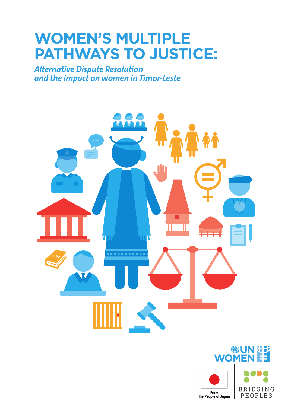# **WOMEN'S MULTIPLE PATHWAYS TO JUSTICE:**

*Alternative Dispute Resolution and the impact on women in Timor-Leste*





Øl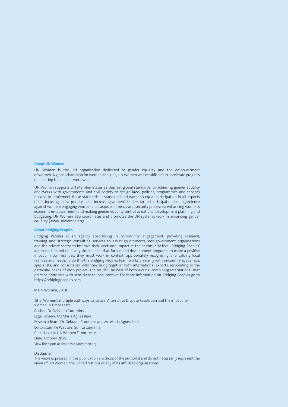#### **About UN Women**

UN Women is the UN organization dedicated to gender equality and the empowerment of women. A global champion for women and girls, UN Women was established to accelerate progress on meeting their needs worldwide.

UN Women supports UN Member States as they set global standards for achieving gender equality and works with governments and civil society to design laws, policies, programmes and services needed to implement these standards. It stands behind women's equal participation in all aspects of life, focusing on five priority areas: increasing women's leadership and participation; ending violence against women; engaging women in all aspects of peace and security processes; enhancing women's economic empowerment; and making gender equality central to national development planning and budgeting. UN Women also coordinates and promotes the UN system's work in advancing gender equality. (www.unwomen.org)

#### **About Bridging Peoples**

Bridging Peoples is an agency specialising in community engagement, providing research, training and strategic consulting services to assist governments, non-government organisations and the private sector to improve their work and impact at the community level. Bridging Peoples' approach is based on a very simple idea: that for aid and development programs to make a positive impact in communities, they must work in context, appropriately recognising and valuing local realities and needs. To do this the Bridging Peoples team works primarily with in-country academics, specialists, and consultants, who they bring together with international experts, responding to the particular needs of each project. The result? The best of both worlds: combining international best practice principles with sensitivity to local context. For more information on Bridging Peoples go to https://bridgingpeoples.com.

#### © UN Women, 2018

Title: Women's multiple pathways to justice: Alternative Dispute Resolution and the impact for women in Timor-Leste Author: Dr. Deborah Cummins Legal Review: Ms Maria Agnes Bere Research Team: Dr. Deborah Cummins and Ms Maria Agnes Bere Editor: Camille Wauters, Sunita Caminha Published by: UN Women Timor-Leste Date: October 2018. View the report at timorleste.unwomen.org

#### Disclaimer:

The views expressed in this publication are those of the author(s) and do not necessarily represent the views of UN Women, the United Nations or any of its affiliated organisations.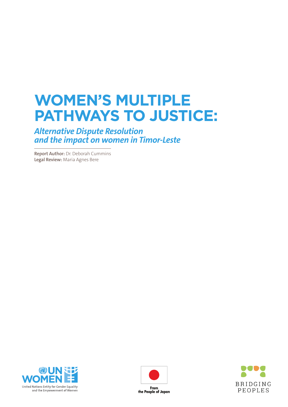# **WOMEN'S MULTIPLE PATHWAYS TO JUSTICE:**

*Alternative Dispute Resolution and the impact on women in Timor-Leste*

**Report Author:** Dr. Deborah Cummins **Legal Review:** Maria Agnes Bere





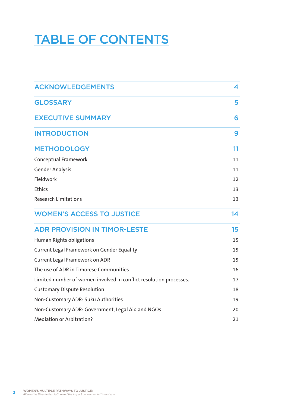# TABLE OF CONTENTS

| <b>ACKNOWLEDGEMENTS</b>                                            | 4  |
|--------------------------------------------------------------------|----|
| <b>GLOSSARY</b>                                                    | 5  |
| <b>EXECUTIVE SUMMARY</b>                                           | 6  |
| <b>INTRODUCTION</b>                                                | 9  |
| <b>METHODOLOGY</b>                                                 | 11 |
| <b>Conceptual Framework</b>                                        | 11 |
| <b>Gender Analysis</b>                                             | 11 |
| Fieldwork                                                          | 12 |
| Ethics                                                             | 13 |
| <b>Research Limitations</b>                                        | 13 |
| <b>WOMEN'S ACCESS TO JUSTICE</b>                                   | 14 |
| <b>ADR PROVISION IN TIMOR-LESTE</b>                                | 15 |
| Human Rights obligations                                           | 15 |
| Current Legal Framework on Gender Equality                         | 15 |
| <b>Current Legal Framework on ADR</b>                              | 15 |
| The use of ADR in Timorese Communities                             | 16 |
| Limited number of women involved in conflict resolution processes. | 17 |
| <b>Customary Dispute Resolution</b>                                | 18 |
| Non-Customary ADR: Suku Authorities                                | 19 |
| Non-Customary ADR: Government, Legal Aid and NGOs                  | 20 |
| <b>Mediation or Arbitration?</b>                                   | 21 |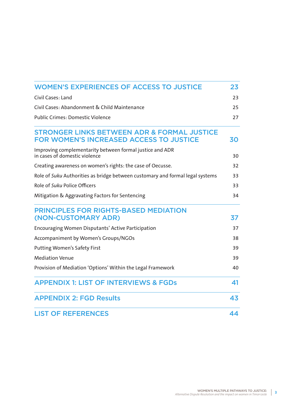| <b>WOMEN'S EXPERIENCES OF ACCESS TO JUSTICE</b>                                                          | 23 |
|----------------------------------------------------------------------------------------------------------|----|
| Civil Cases: Land                                                                                        | 23 |
| Civil Cases: Abandonment & Child Maintenance                                                             | 25 |
| <b>Public Crimes: Domestic Violence</b>                                                                  | 27 |
| <b>STRONGER LINKS BETWEEN ADR &amp; FORMAL JUSTICE</b><br><b>FOR WOMEN'S INCREASED ACCESS TO JUSTICE</b> | 30 |
| Improving complementarity between formal justice and ADR<br>in cases of domestic violence                | 30 |
| Creating awareness on women's rights: the case of Oecusse.                                               | 32 |
| Role of Suku Authorities as bridge between customary and formal legal systems                            | 33 |
| Role of Suku Police Officers                                                                             | 33 |
| Mitigation & Aggravating Factors for Sentencing                                                          | 34 |
| <b>PRINCIPLES FOR RIGHTS-BASED MEDIATION</b><br>(NON-CUSTOMARY ADR)                                      | 37 |
| <b>Encouraging Women Disputants' Active Participation</b>                                                | 37 |
| Accompaniment by Women's Groups/NGOs                                                                     | 38 |
| <b>Putting Women's Safety First</b>                                                                      | 39 |
| <b>Mediation Venue</b>                                                                                   | 39 |
| Provision of Mediation 'Options' Within the Legal Framework                                              | 40 |
| <b>APPENDIX 1: LIST OF INTERVIEWS &amp; FGDs</b>                                                         | 41 |
| <b>APPENDIX 2: FGD Results</b>                                                                           | 43 |
| <b>LIST OF REFERENCES</b>                                                                                | 44 |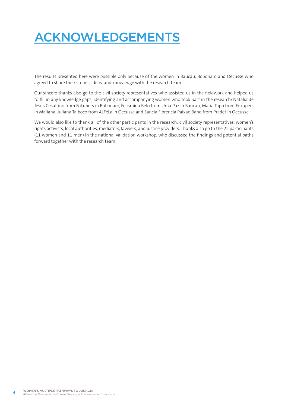# ACKNOWLEDGEMENTS

The results presented here were possible only because of the women in Baucau, Bobonaro and Oecusse who agreed to share their stories, ideas, and knowledge with the research team.

Our sincere thanks also go to the civil society representatives who assisted us in the fieldwork and helped us to fill in any knowledge gaps, identifying and accompanying women who took part in the research: Natalia de Jesus Cesaltino from Fokupers in Bobonaro, Felismina Belo from Uma Paz in Baucau, Maria Tapo from Fokupers in Maliana, Juliana Taiboco from ALFeLa in Oecusse and Sancia Florencia Paixao Bano from Pradet in Oecusse.

We would also like to thank all of the other participants in the research: civil society representatives, women's rights activists, local authorities, mediators, lawyers, and justice providers. Thanks also go to the 22 participants (11 women and 11 men) in the national validation workshop, who discussed the findings and potential paths forward together with the research team.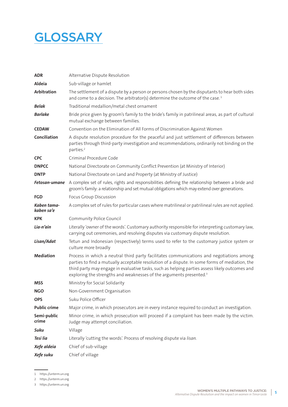# **GLOSSARY**

| <b>ADR</b>                | Alternative Dispute Resolution                                                                                                                                                                                                                                                                                                                                                  |
|---------------------------|---------------------------------------------------------------------------------------------------------------------------------------------------------------------------------------------------------------------------------------------------------------------------------------------------------------------------------------------------------------------------------|
| <b>Aldeia</b>             | Sub-village or hamlet                                                                                                                                                                                                                                                                                                                                                           |
| <b>Arbitration</b>        | The settlement of a dispute by a person or persons chosen by the disputants to hear both sides<br>and come to a decision. The arbitrator(s) determine the outcome of the case. <sup>1</sup>                                                                                                                                                                                     |
| Belak                     | Traditional medallion/metal chest ornament                                                                                                                                                                                                                                                                                                                                      |
| <b>Barlake</b>            | Bride price given by groom's family to the bride's family in patrilineal areas, as part of cultural<br>mutual exchange between families.                                                                                                                                                                                                                                        |
| <b>CEDAW</b>              | Convention on the Elimination of All Forms of Discrimination Against Women                                                                                                                                                                                                                                                                                                      |
| Conciliation              | A dispute resolution procedure for the peaceful and just settlement of differences between<br>parties through third-party investigation and recommendations, ordinarily not binding on the<br>parties. <sup>2</sup>                                                                                                                                                             |
| <b>CPC</b>                | Criminal Procedure Code                                                                                                                                                                                                                                                                                                                                                         |
| <b>DNPCC</b>              | National Directorate on Community Conflict Prevention (at Ministry of Interior)                                                                                                                                                                                                                                                                                                 |
| <b>DNTP</b>               | National Directorate on Land and Property (at Ministry of Justice)                                                                                                                                                                                                                                                                                                              |
| Fetosan-umane             | A complex set of rules, rights and responsibilities defining the relationship between a bride and<br>groom's family: a relationship and set mutual obligations which may extend over generations.                                                                                                                                                                               |
| <b>FGD</b>                | Focus Group Discussion                                                                                                                                                                                                                                                                                                                                                          |
| Kaben tama-<br>kaben sa'e | A complex set of rules for particular cases where matrilineal or patrilineal rules are not applied.                                                                                                                                                                                                                                                                             |
| <b>KPK</b>                | Community Police Council                                                                                                                                                                                                                                                                                                                                                        |
| Lia-n'ain                 | Literally 'owner of the words'. Customary authority responsible for interpreting customary law,<br>carrying out ceremonies, and resolving disputes via customary dispute resolution.                                                                                                                                                                                            |
| Lisan/Adat                | Tetun and Indonesian (respectively) terms used to refer to the customary justice system or<br>culture more broadly                                                                                                                                                                                                                                                              |
| <b>Mediation</b>          | Process in which a neutral third party facilitates communications and negotiations among<br>parties to find a mutually acceptable resolution of a dispute. In some forms of mediation, the<br>third party may engage in evaluative tasks, such as helping parties assess likely outcomes and<br>exploring the strengths and weaknesses of the arguments presented. <sup>3</sup> |
| MSS                       | Ministry for Social Solidarity                                                                                                                                                                                                                                                                                                                                                  |
| <b>NGO</b>                | Non-Government Organisation                                                                                                                                                                                                                                                                                                                                                     |
| <b>OPS</b>                | Suku Police Officer                                                                                                                                                                                                                                                                                                                                                             |
| <b>Public crime</b>       | Major crime, in which prosecutors are in every instance required to conduct an investigation.                                                                                                                                                                                                                                                                                   |
| Semi-public<br>crime      | Minor crime, in which prosecution will proceed if a complaint has been made by the victim.<br>Judge may attempt conciliation.                                                                                                                                                                                                                                                   |
| Suku                      | Village                                                                                                                                                                                                                                                                                                                                                                         |
| Tesi lia                  | Literally 'cutting the words'. Process of resolving dispute via lisan.                                                                                                                                                                                                                                                                                                          |
| Xefe aldeia               | Chief of sub-village                                                                                                                                                                                                                                                                                                                                                            |
| Xefe suku                 | Chief of village                                                                                                                                                                                                                                                                                                                                                                |

<sup>1</sup> https://unterm.un.org

<sup>2</sup> https://unterm.un.org

<sup>3</sup> https://unterm.un.org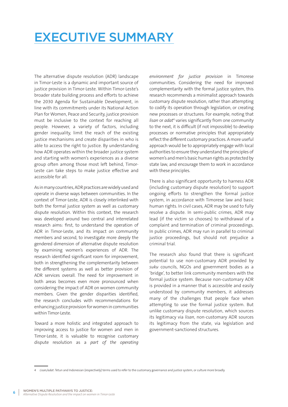# EXECUTIVE SUMMARY

The alternative dispute resolution (ADR) landscape in Timor-Leste is a dynamic and important source of justice provision in Timor-Leste. Within Timor-Leste's broader state building process and efforts to achieve the 2030 Agenda for Sustainable Development, in line with its commitments under its National Action Plan for Women, Peace and Security, justice provision must be inclusive to the context for reaching all people. However, a variety of factors, including gender inequality, limit the reach of the existing justice mechanisms and create disparities in who is able to access the right to justice. By understanding how ADR operates within the broader justice system and starting with women's experiences as a diverse group often among those most left behind, Timor-Leste can take steps to make justice effective and accessible for all.

As in many countries, ADR practices are widely used and operate in diverse ways between communities. In the context of Timor-Leste, ADR is closely interlinked with both the formal justice system as well as customary dispute resolution. Within this context, the research was developed around two central and interrelated research aims: first, to understand the operation of ADR in Timor-Leste, and its impact on community members and second, to investigate more deeply the gendered dimension of alternative dispute resolution by examining women's experiences of ADR. The research identified significant room for improvement, both in strengthening the complementarity between the different systems as well as better provision of ADR services overall. The need for improvement in both areas becomes even more pronounced when considering the impact of ADR on women community members. Given the gender disparities identified, the research concludes with recommendations for enhancing justice provision for women in communities within Timor-Leste.

Toward a more holistic and integrated approach to improving access to justice for women and men in Timor-Leste, it is valuable to recognise customary dispute resolution as a *part of the operating*  *environment for justice provision* in Timorese communities. Considering the need for improved complementarity with the formal justice system, this research recommends a minimalist approach towards customary dispute resolution, rather than attempting to codify its operation through legislation, or creating new processes or structures. For example, noting that lisan or adat<sup>4</sup> varies significantly from one community to the next, it is difficult (if not impossible) to develop processes or normative principles that appropriately reflect the different customary practices. A more useful approach would be to appropriately engage with local authorities to ensure they understand the principles of women's and men's basic human rights as protected by state law, and encourage them to work in accordance with these principles.

There is also significant opportunity to harness ADR (including customary dispute resolution) to support ongoing efforts to strengthen the formal justice system, in accordance with Timorese law and basic human rights. In civil cases, ADR may be used to fully resolve a dispute. In semi-public crimes, ADR may lead (if the victim so chooses) to withdrawal of a complaint and termination of criminal proceedings. In public crimes, ADR may run in parallel to criminal justice proceedings, but should not prejudice a criminal trial.

The research also found that there is significant potential to use non-customary ADR provided by *suku* councils, NGOs and government bodies as a 'bridge', to better link community members with the formal justice system. Because non-customary ADR is provided in a manner that is accessible and easily understood by community members, it addresses many of the challenges that people face when attempting to use the formal justice system. But unlike customary dispute resolution, which sources its legitimacy via *lisan*, non-customary ADR sources its legitimacy from the state, via legislation and government-sanctioned structures.

<sup>4</sup> *Lisan/adat*: Tetun and Indonesian (respectively) terms used to refer to the customary governance and justice system, or culture more broadly.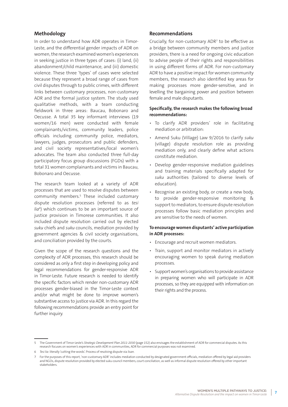### **Methodology**

In order to understand how ADR operates in Timor-Leste, and the differential gender impacts of ADR on women, the research examined women's experiences in seeking justice in three types of cases: (i) land, (ii) abandonment/child maintenance, and (iii) domestic violence. These three 'types' of cases were selected because they represent a broad range of cases from civil disputes through to public crimes, with different links between customary processes, non-customary ADR and the formal justice system. The study used qualitative methods, with a team conducting fieldwork in three areas: Baucau, Bobonaro and Oecusse. A total 35 key informant interviews (19 women/16 men) were conducted with female complainants/victims, community leaders, police officials including community police, mediators, lawyers, judges, prosecutors and public defenders, and civil society representatives/local women's advocates. The team also conducted three full-day participatory focus group discussions (FGDs) with a total 31 women complainants and victims in Baucau, Bobonaro and Oecusse.

The research team looked at a variety of ADR processes that are used to resolve disputes between community members.<sup>5</sup> These included customary dispute resolution processes (referred to as *tesi*  lia<sup>6</sup>) which continues to be an important source of justice provision in Timorese communities. It also included dispute resolution carried out by elected *suku* chiefs and *suku* councils, mediation provided by government agencies & civil society organisations, and conciliation provided by the courts.

Given the scope of the research questions and the complexity of ADR processes, this research should be considered as only a first step in developing policy and legal recommendations for gender-responsive ADR in Timor-Leste. Future research is needed to identify the specific factors which render non-customary ADR processes gender-biased in the Timor-Leste context and/or what might be done to improve women's substantive access to justice via ADR. In this regard the following recommendations provide an entry point for further inquiry.

#### **Recommendations**

Crucially, for non-customary ADR7 to be effective as a bridge between community members and justice providers, there is a need for ongoing civic education to advise people of their rights and responsibilities in using different forms of ADR. For non-customary ADR to have a positive impact for women community members, the research also identified key areas for making processes more gender-sensitive, and in levelling the bargaining power and position between female and male disputants.

### **Specifically, the research makes the following broad recommendations:**

- To clarify ADR providers' role in facilitating mediation or arbitration:
- Amend Suku (Village) Law 9/2016 to clarify *suku* (village) dispute resolution role as providing mediation only, and clearly define what actions constitute mediation.
- Develop gender-responsive mediation guidelines and training materials specifically adapted for *suku* authorities (tailored to diverse levels of education).
- Recognise an existing body, or create a new body, to provide gender-responsive monitoring & support to mediators, to ensure dispute resolution processes follow basic mediation principles and are sensitive to the needs of women.

#### **To encourage women disputants' active participation in ADR processes:**

- Encourage and recruit women mediators.
- Train, support and monitor mediators in actively encouraging women to speak during mediation processes.
- Support women's organisations to provide assistance in preparing women who will participate in ADR processes, so they are equipped with information on their rights and the process.

<sup>5</sup> The Government of Timor-Leste's *Strategic Development Plan 2011-2030* (page 152) also envisages the establishment of ADR for commercial disputes. As this research focuses on women's experiences with ADR in communities, ADR for commercial purposes was not examined.

<sup>6</sup> *Tesi lia*: literally 'cutting the words'. Process of resolving dispute via *lisan*.

<sup>7</sup> For the purposes of this report, 'non-customary ADR' includes mediation conducted by designated government officials, mediation offered by legal aid providers and NGOs, dispute resolution provided by elected suku council members, court conciliation, as well as informal dispute resolution offered by other important stakeholders.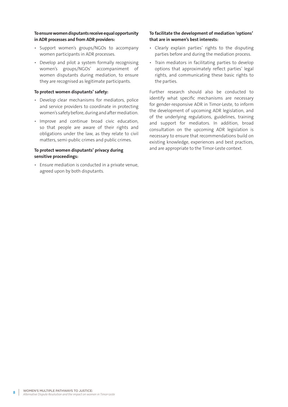### **To ensure women disputants receive equal opportunity in ADR processes and from ADR providers:**

- Support women's groups/NGOs to accompany women participants in ADR processes.
- Develop and pilot a system formally recognising women's groups/NGOs' accompaniment of women disputants during mediation, to ensure they are recognised as legitimate participants.

#### **To protect women disputants' safety:**

- Develop clear mechanisms for mediators, police and service providers to coordinate in protecting women's safety before, during and after mediation.
- Improve and continue broad civic education, so that people are aware of their rights and obligations under the law, as they relate to civil matters, semi-public crimes and public crimes.

### **To protect women disputants' privacy during sensitive proceedings:**

• Ensure mediation is conducted in a private venue, agreed upon by both disputants.

### **To facilitate the development of mediation 'options' that are in women's best interests:**

- Clearly explain parties' rights to the disputing parties before and during the mediation process.
- Train mediators in facilitating parties to develop options that approximately reflect parties' legal rights, and communicating these basic rights to the parties.

Further research should also be conducted to identify what specific mechanisms are necessary for gender-responsive ADR in Timor-Leste, to inform the development of upcoming ADR legislation, and of the underlying regulations, guidelines, training and support for mediators. In addition, broad consultation on the upcoming ADR legislation is necessary to ensure that recommendations build on existing knowledge, experiences and best practices, and are appropriate to the Timor-Leste context.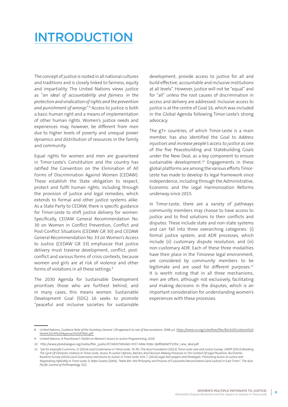# INTRODUCTION

The concept of justice is rooted in all national cultures and traditions and is closely linked to fairness, equity and impartiality. The United Nations views justice as "*an ideal of accountability and fairness in the protection and vindication of rights and the prevention and punishment of wrongs*".8 Access to justice is both a basic human right and a means of implementation of other human rights. Women's justice needs and experiences may, however, be different from men due to higher levels of poverty and unequal power dynamics and distribution of resources in the family and community.

Equal rights for women and men are guaranteed in Timor-Leste's Constitution and the country has ratified the Convention on the Elimination of All Forms of Discrimination Against Women (CEDAW). These establish the State obligation to respect, protect and fulfil human rights, including through the provision of justice and legal remedies, which extends to formal and other justice systems alike. As a State Party to CEDAW, there is specific guidance for Timor-Leste to shift justice delivery for women. Specifically, CEDAW General Recommendation No. 30 on Women in Conflict Prevention, Conflict and Post-Conflict Situations (CEDAW GR 30) and CEDAW General Recommendation No. 33 on Women's Access to Justice (CEDAW GR 33) emphasize that justice delivery must traverse development, conflict, postconflict and various forms of crisis contexts, because women and girls are at risk of violence and other forms of violations in all these settings.<sup>9</sup>

The 2030 Agenda for Sustainable Development prioritises those who are furthest behind, and in many cases, this means women. Sustainable Development Goal (SDG) 16 seeks to promote "peaceful and inclusive societies for sustainable

development, provide access to justice for all and build effective, accountable and inclusive institutions at all levels". However, justice will not be "equal" and for "all" unless the root causes of discrimination in access and delivery are addressed. Inclusive access to justice is at the centre of Goal 16, which was included in the Global Agenda following Timor-Leste's strong advocacy.

The g7+ countries, of which Timor-Leste is a main member, has also identified the Goal to *Address injustices and increase people's access to justice* as one of the five Peacebuilding and Statebuilding Goals under the New Deal, as a key component to ensure sustainable development.<sup>10</sup> Engagements in these global platforms are among the various efforts Timor-Leste has made to develop its legal framework since independence, including through the Administrative, Economic and the Legal Harmonization Reforms underway since 2015.

In Timor-Leste, there are a variety of pathways community members may choose to have access to justice and to find solutions to their conflicts and disputes. These include state and non-state systems and can fall into three overarching categories: (i) formal justice system, and ADR processes, which include (ii) customary dispute resolution, and (iii) non-customary ADR. Each of these three modalities have their place in the Timorese legal environment, are considered by community members to be legitimate and are used for different purposes.<sup>11</sup> It is worth noting that in all three mechanisms, men are often, although not exclusively, facilitating and making decisions in the disputes, which is an important consideration for understanding women's experiences with these processes.

<sup>8</sup> United Nations, *Guidance Note of the Secretary-General. UN approach to rule of law assistance*, 2008, p1. https://www.un.org/ruleoflaw/files/RoL%20Guidance%20 Note%20UN%20Approach%20FINAL.pdf

<sup>9</sup> United Nations, *A Practitioner's Toolkit on Women's Access to Justice Programming, 2018*

<sup>10</sup> http://www.pbsbdialogue.org/media/filer\_public/07/69/07692de0-3557-494e-918e-18df00e9ef73/the\_new\_deal.pdf

<sup>11</sup> See for example Cummins, D. (2014) *Local Governance in Timor-Leste,* 76-95; The Asia Foundation (2013) *Timor-Leste Law and Justice Survey;* UNDP (2013) *Breaking The Cycle Of Domestic Violence In Timor-Leste; Access To Justice Options, Barriers And Decision Making Processes In The Context Of Legal Pluralism;* Ba Distrito Baseline Survey (2014) *Local Governance and Access to Justice in Timor-Leste;* Kirk, T. (2014) *Legal Aid Lawyers and Paralegals: Promoting Access to Justice and Negotiating Hybridity in Timor-Leste;* D. Babo-Soares (2004), *"Nahe Biti:* the Philosphy and Process of Grassroots Reconciliation (and Justice) in East Timor", *The Asia Pacific Journal of Anthropology,* 5(1).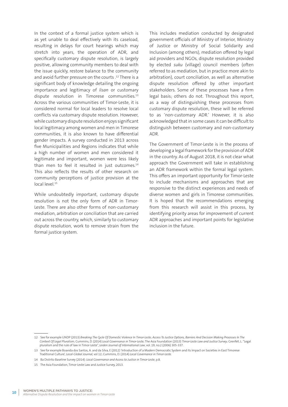In the context of a formal justice system which is as yet unable to deal effectively with its caseload, resulting in delays for court hearings which may stretch into years, the operation of ADR, and specifically customary dispute resolution, is largely positive, allowing community members to deal with the issue quickly, restore balance to the community and avoid further pressure on the courts .12 There is a significant body of knowledge detailing the ongoing importance and legitimacy of *lisan* or customary dispute resolution in Timorese communities.<sup>13</sup> Across the various communities of Timor-Leste, it is considered normal for local leaders to resolve local conflicts via customary dispute resolution. However, while customary dispute resolution enjoys significant local legitimacy among women and men in Timorese communities, it is also known to have differential gender impacts. A survey conducted in 2013 across five Municipalities and Regions indicates that while a high number of women and men considered it legitimate and important, women were less likely than men to feel it resulted in just outcomes.<sup>14</sup> This also reflects the results of other research on community perceptions of justice provision at the local level.<sup>15</sup>

While undoubtedly important, customary dispute resolution is not the only form of ADR in Timor-Leste. There are also other forms of non-customary mediation, arbitration or conciliation that are carried out across the country, which, similarly to customary dispute resolution, work to remove strain from the formal justice system.

This includes mediation conducted by designated government officials of Ministry of Interior, Ministry of Justice or Ministry of Social Solidarity and Inclusion (among others), mediation offered by legal aid providers and NGOs, dispute resolution provided by elected *suku* (village) council members (often referred to as mediation, but in practice more akin to arbitration), court conciliation, as well as alternative dispute resolution offered by other important stakeholders. Some of these processes have a firm legal basis; others do not. Throughout this report, as a way of distinguishing these processes from customary dispute resolution, these will be referred to as 'non-customary ADR.' However, it is also acknowledged that in some cases it can be difficult to distinguish between customary and non-customary ADR.

The Government of Timor-Leste is in the process of developing a legal framework for the provision of ADR in the country. As of August 2018, it is not clear what approach the Government will take in establishing an ADR framework within the formal legal system. This offers an important opportunity for Timor-Leste to include mechanisms and approaches that are responsive to the distinct experiences and needs of diverse women and girls in Timorese communities. It is hoped that the recommendations emerging from this research will assist in this process, by identifying priority areas for improvement of current ADR approaches and important points for legislative inclusion in the future.

<sup>12</sup> See for example UNDP (2013) *Breaking The Cycle Of Domestic Violence In Timor-Leste; Access To Justice Options, Barriers And Decision Making Processes In The Context Of Legal Pluralism*; Cummins, D. (2014) *Local Governance in Timor-Leste;* The Asia Foundation (2013) *Timor-Leste Law and Justice Survey*; Grenfell, L. "Legal pluralism and the rule of law in Timor-Leste", *Leiden Journal of International Law*, vol. 19, no.2 (2006) 305-337.

<sup>13</sup> See for example Boavida dos Santos, A. and da Silva, E (2012) 'Introduction of a Modern Democratic System and its Impact on Societies in East Timorese Traditional Culture', *Local-Global Journal,* vol 12; Cummins, D. (2014) *Local Governance in Timor-Leste.*

<sup>14</sup> Ba Distrito Baseline Survey (2014): *Local Governance and Access to Justice in Timor-Leste*, p.8.

<sup>15</sup> The Asia Foundation, Timor-Leste Law and Justice Survey, 2013.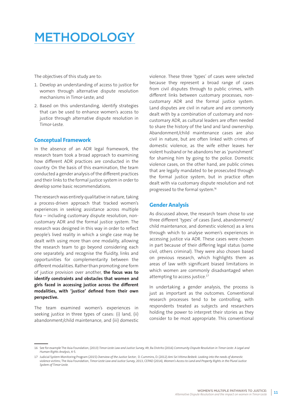# METHODOLOGY

The objectives of this study are to:

- 1. Develop an understanding of access to justice for women through alternative dispute resolution mechanisms in Timor-Leste; and
- 2. Based on this understanding, identify strategies that can be used to enhance women's access to justice through alternative dispute resolution in Timor-Leste.

# **Conceptual Framework**

In the absence of an ADR legal framework, the research team took a broad approach to examining how different ADR practices are conducted in the country. On the basis of this examination, the team conducted a gender analysis of the different practices and their links to the formal justice system in order to develop some basic recommendations.

The research was entirely qualitative in nature, taking a process-driven approach that tracked women's experiences in seeking assistance across multiple fora – including customary dispute resolution, noncustomary ADR and the formal justice system. The research was designed in this way in order to reflect people's lived reality in which a single case may be dealt with using more than one modality, allowing the research team to go beyond considering each one separately, and recognise the fluidity, links and opportunities for complementarity between the different modalities. Rather than promoting one form of justice provision over another, **the focus was to identify constraints and obstacles that women and girls faced in accessing justice across the different modalities, with 'justice' defined from their own perspective.** 

The team examined women's experiences in seeking justice in three types of cases: (i) land, (ii) abandonment/child maintenance, and (iii) domestic violence. These three 'types' of cases were selected because they represent a broad range of cases from civil disputes through to public crimes, with different links between customary processes, noncustomary ADR and the formal justice system. Land disputes are civil in nature and are commonly dealt with by a combination of customary and noncustomary ADR, as cultural leaders are often needed to share the history of the land and land ownership. Abandonment/child maintenance cases are also civil in nature, but are often linked with crimes of domestic violence, as the wife either leaves her violent husband or he abandons her as 'punishment' for shaming him by going to the police. Domestic violence cases, on the other hand, are public crimes that are legally mandated to be prosecuted through the formal justice system, but in practice often dealt with via customary dispute resolution and not progressed to the formal system.16

# **Gender Analysis**

As discussed above, the research team chose to use three different 'types' of cases (land, abandonment/ child maintenance, and domestic violence) as a lens through which to analyse women's experiences in accessing justice via ADR. These cases were chosen in part because of their differing legal status (some civil, others criminal). They were also chosen based on previous research, which highlights them as areas of law with significant biased limitations in which women are commonly disadvantaged when attempting to access justice.<sup>17</sup>

In undertaking a gender analysis, the process is just as important as the outcomes. Conventional research processes tend to be controlling, with respondents treated as subjects and researchers holding the power to interpret their stories as they consider to be most appropriate. This conventional

<sup>16</sup> See for example The Asia Foundation, (2013) *Timor-Leste Law and Justice Survey,* 49; Ba Distrito (2016) *Community Dispute Resolution in Timor-Leste: A Legal and Human Rights Analysis*, 4-5.

<sup>17</sup> Judicial System Monitoring Program (2015) *Overview of the Justice Sector*; D. Cummins, D. (2012) *Ami Sei Vitima Beibeik: Looking into the needs of domestic violence victims*; The Asia Foundation, *Timor-Leste Law and Justice Survey*, 2013; CEPAD (2014), *Women's Access to Land and Property Rights in the Plural Justice System of Timor-Leste.*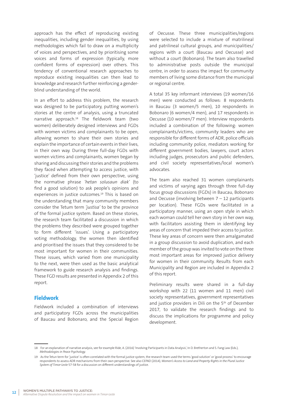approach has the effect of reproducing existing inequalities, including gender inequalities, by using methodologies which fail to draw on a multiplicity of voices and perspectives, and by prioritising some voices and forms of expression (typically, more confident forms of expression) over others. This tendency of conventional research approaches to reproduce existing inequalities can then lead to knowledge and research further reinforcing a genderblind understanding of the world.

In an effort to address this problem, the research was designed to be participatory, putting women's stories at the centre of analysis, using a truncated narrative approach.<sup>18</sup> The fieldwork team (two women) deliberately designed interviews and FGDs with women victims and complainants to be open, allowing women to share their own stories and explain the importance of certain events in their lives, in their own way. During three full-day FGDs with women victims and complainants, women began by sharing and discussing their stories and the problems they faced when attempting to access justice, with 'justice' defined from their own perspective, using the normative phrase *'hetan solusaun diak'* (to find a good solution) to ask people's opinions and experiences in justice outcomes.<sup>19</sup> This is based on the understanding that many community members consider the Tetum term *'justisa'* to be the province of the formal justice system. Based on these stories, the research team facilitated a discussion in which the problems they described were grouped together to form different 'issues'. Using a participatory voting methodology, the women then identified and prioritised the issues that they considered to be most important for women in their communities. These issues, which varied from one municipality to the next, were then used as the basic analytical framework to guide research analysis and findings. These FGD results are presented in Appendix 2 of this report.

# **Fieldwork**

Fieldwork included a combination of interviews and participatory FGDs across the municipalities of Baucau and Bobonaro, and the Special Region of Oecusse. These three municipalities/regions were selected to include a mixture of matrilineal and patrilineal cultural groups, and municipalities/ regions with a court (Baucau and Oecusse) and without a court (Bobonaro). The team also travelled to administrative posts outside the municipal centre, in order to assess the impact for community members of living some distance from the municipal or regional centre.

A total 35 key informant interviews (19 women/16 men) were conducted as follows: 8 respondents in Baucau (3 women/5 men), 10 respondents in Bobonaro (6 women/4 men), and 17 respondents in Oecusse (10 women/7 men). Interview respondents included a combination of the following: women complainants/victims, community leaders who are responsible for different forms of ADR, police officials including community police, mediators working for different government bodies, lawyers, court actors including judges, prosecutors and public defenders, and civil society representatives/local women's advocates.

The team also reached 31 women complainants and victims of varying ages through three full-day focus group discussions (FGDs) in Baucau, Bobonaro and Oecusse (involving between  $7 - 12$  participants per location). These FGDs were facilitated in a participatory manner, using an open style in which each woman could tell her own story in her own way, with facilitators assisting them in identifying key areas of concern that impeded their access to justice. These key areas of concern were then amalgamated in a group discussion to avoid duplication, and each member of the group was invited to vote on the three most important areas for improved justice delivery for women in their community. Results from each Municipality and Region are included in Appendix 2 of this report.

Preliminary results were shared in a full-day workshop with 22 (11 women and 11 men) civil society representatives, government representatives and justice providers in Dili on the 5<sup>th</sup> of December 2017, to validate the research findings and to discuss the implications for programme and policy development.

<sup>18</sup> For an explanation of narrative analysis, see for example Ride, A. (2016) 'Involving Participants in Data Analysis', In D. Bretherton and S. Fang Law (Eds.), *Methodologies in Peace Psychology.* 

<sup>19</sup> As the Tetun term for 'justice' is often correlated with the formal justice system, the research team used the terms 'good solution' or 'good process' to encourage respondents to assess ADR mechanisms from their own perspective. See also CEPAD (2014), *Women's Access to Land and Property Rights in the Plural Justice System of Timor-Leste* 57-58 for a discussion on different understandings of justice.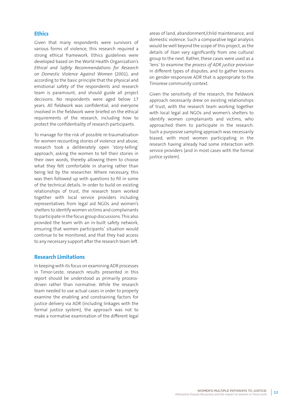### **Ethics**

Given that many respondents were survivors of various forms of violence, this research required a strong ethical framework. Ethics guidelines were developed based on the World Health Organization's *Ethical and Safety Recommendations for Research on Domestic Violence Against Women* (2001), and according to the basic principle that the physical and emotional safety of the respondents and research team is paramount, and should guide all project decisions. No respondents were aged below 17 years. All fieldwork was confidential, and everyone involved in the fieldwork were briefed on the ethical requirements of the research, including how to protect the confidentiality of research participants.

To manage for the risk of possible re-traumatisation for women recounting stories of violence and abuse, research took a deliberately open 'story-telling' approach, asking the women to tell their stories in their own words, thereby allowing them to choose what they felt comfortable in sharing rather than being led by the researcher. Where necessary, this was then followed up with questions to fill in some of the technical details. In order to build on existing relationships of trust, the research team worked together with local service providers including representatives from legal aid NGOs and women's shelters to identify women victims and complainants to participate in the focus group discussions. This also provided the team with an in-built safety network, ensuring that women participants' situation would continue to be monitored, and that they had access to any necessary support after the research team left.

### **Research Limitations**

In keeping with its focus on examining ADR processes in Timor-Leste, research results presented in this report should be understood as primarily processdriven rather than normative. While the research team needed to use actual cases in order to properly examine the enabling and constraining factors for justice delivery via ADR (including linkages with the formal justice system), the approach was not to make a normative examination of the different legal

areas of land, abandonment/child maintenance, and domestic violence. Such a comparative legal analysis would be well beyond the scope of this project, as the details of *lisan* vary significantly from one cultural group to the next. Rather, these cases were used as a 'lens' to examine the *process of ADR justice provision* in different types of disputes, and to gather lessons on gender-responsive ADR that is appropriate to the Timorese community context.

Given the sensitivity of the research, the fieldwork approach necessarily drew on existing relationships of trust, with the research team working together with local legal aid NGOs and women's shelters to identify women complainants and victims, who approached them to participate in the research. Such a purposive sampling approach was necessarily biased, with most women participating in the research having already had some interaction with service providers (and in most cases with the formal justice system).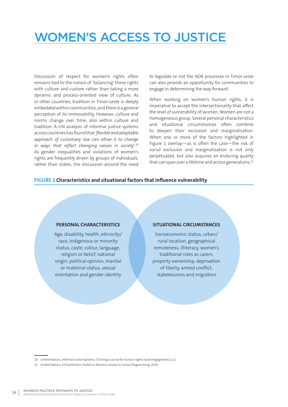# WOMEN'S ACCESS TO JUSTICE

Discussion of respect for women's rights often remains tied to the notion of 'balancing' these rights with culture and custom rather than taking a more dynamic and process-oriented view of culture. As in other countries, tradition in Timor-Leste is deeply embedded within communities, and there is a general perception of its immovability. However, culture and norms change over time, also within culture and tradition. A UN analysis of informal justice systems across countries has found that *'flexible and adaptable approach of customary law can allow it to change in ways that reflect changing values in society*'.20 As gender inequalities and violations of women's rights are frequently driven by groups of individuals, rather than states, the discussion around the need to legislate or not the ADR processes in Timor-Leste can also provide an opportunity for communities to engage in determining the way forward.

When working on women's human rights, it is imperative to accept the intersectionality that affect the level of vulnerability of women. Women are not a homogeneous group. Several personal characteristics and situational circumstances often combine to deepen their exclusion and marginalisation. When one or more of the factors highlighted in Figure 1 overlap—as is often the case—the risk of social exclusion and marginalisation is not only perpetuated, but also acquires an enduring quality that can span over a lifetime and across generations.<sup>21</sup>

### **FIGURE 1 Characteristics and situational factors that influence vulnerability**

### **PERSONAL CHARACTERISTICS**

Age, disability, health, ethnicity/ race, indigenous or minority status, caste, colour, language, religion or belief, national origin, political opinion, marital or maternal status, sexual orientation and gender identity

#### **SITUATIONAL CIRCUMSTANCES**

Socioeconomic status, urban/ rural location, geographical remoteness, illiteracy, women's traditional roles as carers, property ownership, deprivation of liberty, armed conflict, statelessness and migration

<sup>20</sup> United Nations, Informal Justice Systems: Charting a course for human-rights based engagement, p.12

<sup>21</sup> United Nations, A Practitioner's Toolkit on Women's Access to Justice Programming, 2018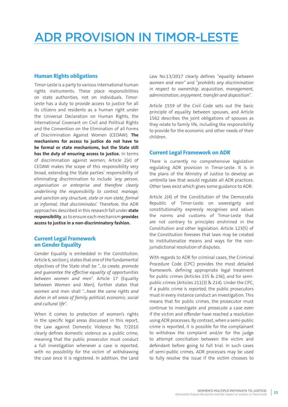# ADR PROVISION IN TIMOR-LESTE

# **Human Rights obligations**

Timor-Leste is a party to various international human rights instruments. These place responsibilities on state authorities, not on individuals. Timor-Leste has a duty to provide access to justice for all its citizens and residents as a human right under the Universal Declaration on Human Rights, the International Covenant on Civil and Political Rights and the Convention on the Elimination of all Forms of Discrimination Against Women (CEDAW). **The mechanisms for access to justice do not have to be formal or state mechanisms, but the State still has the duty of ensuring access to justice.** In terms of discrimination against women, Article 2(e) of CEDAW makes the scope of this responsibility very broad, extending the State parties' responsibility of eliminating discrimination to include *'any person, organisation or enterprise and therefore clearly underlining the responsibility to control, manage, and sanction any structure, state or non-state, formal or informal, that discriminates'.* Therefore, the ADR approaches described in this research fall under **state responsibility**, as to ensure each mechanism **provides access to justice in a non-discriminatory fashion.**

### **Current Legal Framework on Gender Equality**

Gender Equality is embedded in the Constitution. Article 6, section j. states that one of the fundamental objectives of the State shall be "…*to create, promote and guarantee the effective equality of opportunities between women and men*". Article 17 (Equality between Women and Men), further states that women and men shall "…*have the same rights and duties in all areas of family, political, economic, social and cultural life*".

When it comes to protection of women's rights in the specific legal areas discussed in this report, the Law against Domestic Violence No. 7/2010 clearly defines domestic violence as a public crime, meaning that the public prosecutor must conduct a full investigation whenever a case is reported, with no possibility for the victim of withdrawing the case once it is registered. In addition, the Land

Law No.13/2017 clearly defines "*equality between women and men"* and "*prohibits any discrimination in respect to ownership, acquisition, management, administration, enjoyment, transfer and disposition*".

Article 1559 of the Civil Code sets out the basic principle of equality between spouses, and Article 1562 describes the joint obligations of spouses as they relate to family life, including the responsibility to provide for the economic and other needs of their children.

# **Current Legal Framework on ADR**

There is currently no comprehensive legislation regulating ADR provision in Timor-Leste. It is in the plans of the Ministry of Justice to develop an umbrella law that would regulate all ADR practices. Other laws exist which gives some guidance to ADR:

Article 2(4) of the Constitution of the Democratic Republic of Timor-Leste on sovereignty and constitutionality expressly recognises and values the norms and customs of Timor-Leste that are not contrary to principles enshrined in the Constitution and other legislation. Article 123(5) of the Constitution foresees that laws may be created to institutionalize means and ways for the nonjurisdictional resolution of disputes.

With regards to ADR for criminal cases, the Criminal Procedure Code (CPC) provides the most detailed framework, defining appropriate legal treatment for public crimes (Articles 235 & 236), and for semipublic crimes (Articles 211(3) & 214). Under the CPC, if a public crime is reported, the public prosecutors must in every instance conduct an investigation. This means that for public crimes, the prosecutor must continue to investigate and prosecute a case even if the victim and offender have reached a resolution using ADR processes. By contrast, when a semi-public crime is reported, it is possible for the complainant to withdraw the complaint and/or for the judge to attempt conciliation between the victim and defendant before going to full trial. In such cases of semi-public crimes, ADR processes may be used to fully resolve the issue if the victim chooses to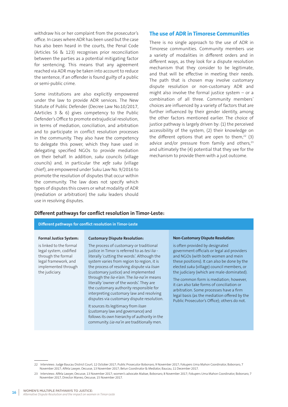withdraw his or her complaint from the prosecutor's office. In cases where ADR has been used but the case has also been heard in the courts, the Penal Code (Articles 56 & 123) recognises prior reconciliation between the parties as a potential mitigating factor for sentencing. This means that any agreement reached via ADR may be taken into account to reduce the sentence, if an offender is found guilty of a public or semi-public crime.

Some institutions are also explicitly empowered under the law to provide ADR services. The New Statute of Public Defender (Decree Law No.10/2017, AArticles 3 & 6) gives competency to the Public Defender's Office to promote extrajudicial resolution, in terms of mediation, conciliation, and arbitration and to participate in conflict resolution processes in the community. They also have the competency to delegate this power, which they have used in delegating specified NGOs to provide mediation on their behalf. In addition, *suku* councils (village councils) and, in particular the *xefe suku* (village chief), are empowered under Suku Law No. 9/2016 to promote the resolution of disputes that occur within the community. The law does not specify which types of disputes this covers or what modality of ADR (mediation or arbitration) the *suku* leaders should use in resolving disputes.

#### **The use of ADR in Timorese Communities**

There is no single approach to the use of ADR in Timorese communities. Community members use a variety of modalities in different orders and in different ways, as they look for a dispute resolution mechanism that they consider to be legitimate, and that will be effective in meeting their needs. The path that is chosen may involve customary dispute resolution or non-customary ADR and might also involve the formal justice system – or a combination of all three. Community members' choices are influenced by a variety of factors that are further influenced by their gender identity, among the other factors mentioned earlier. The choice of justice pathway is largely driven by: (1) the perceived accessibility of the system, (2) their knowledge on the different options that are open to them, $22$  (3) advice and/or pressure from family and others, $23$ and ultimately the (4) potential that they see for the mechanism to provide them with a just outcome.

#### **Different pathways for conflict resolution in Timor-Leste:**

# **Different pathways for conflict resolution in Timor-Leste**

#### **Formal Justice System:**

is linked to the formal legal system, codified through the formal legal framework, and implemented through the judiciary.

#### **Customary Dispute Resolution:**

The process of customary or traditional justice in Timor is referred to as *tesi lia* literally 'cutting the words'. Although the system varies from region to region, it is the process of resolving dispute via *lisan* (customary justice) and implemented through the *lia-n'ain*. The *lia-na'in* means literally 'owner of the words'. They are the customary authority responsible for interpreting customary law and resolving disputes via customary dispute resolution.

It sources its legitimacy from *lisan* (customary law and governance) and follows its own hierarchy of authority in the community. *Lia-na'in* are traditionally men.

#### **Non-Customary Dispute Resolution:**

is often provided by designated government officials or legal aid providers and NGOs (with both women and mein these positions). It can also be done by the elected *suku* (village) council members, or the judiciary (which are male-dominated).

The common form is mediation; however, it can also take forms of conciliation or arbitration. Some processes have a firm legal basis (as the mediation offered by the Public Prosecutor's Office); others do not.

<sup>22</sup> Interviews: Judge Baucau District Court, 12 October 2017; Public Prosecutor Bobonaro, 9 November 2017; Fokupers Uma Mahon Coordinator, Bobonaro, 7 November 2017; Alfela Lawyer, Oecusse, 13 November 2017; Belun Coordinator & Mediator, Baucau, 11 December 2017.

<sup>23</sup> Interviews: Alfela Lawyer, Oecusse, 13 November 2017; women's advocate Atabae, Bobonaro, 8 November 2017; Fokupers Uma Mahon Coordinator, Bobonaro, 7 November 2017, Director Maneo, Oecusse, 15 November 2017.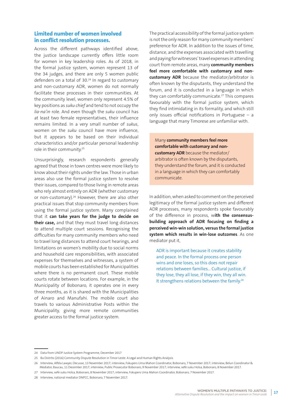## **Limited number of women involved in conflict resolution processes.**

Across the different pathways identified above, the justice landscape currently offers little room for women in key leadership roles. As of 2018, in the formal justice system, women represent 13 of the 34 judges, and there are only 5 women public defenders on a total of 30.<sup>24</sup> In regard to customary and non-customary ADR, women do not normally facilitate these processes in their communities. At the community level, women only represent 4.5% of key positions as *suku chief* and tend to not occupy the *lia-na'in* role. And even though the *suku* council has at least two female representatives, their influence remains limited. In a very small number of *sukus*, women on the *suku* council have more influence, but it appears to be based on their individual characteristics and/or particular personal leadership role in their community.25

Unsurprisingly, research respondents generally agreed that those in town centres were more likely to know about their rights under the law. Those in urban areas also use the formal justice system to resolve their issues, compared to those living in remote areas who rely almost entirely on ADR (whether customary or non-customary).<sup>26</sup> However, there are also other practical issues that stop community members from using the formal justice system. Many complained that it **can take years for the judge to decide on their case,** and that they must travel long distances to attend multiple court sessions. Recognising the difficulties for many community members who need to travel long distances to attend court hearings, and limitations on women's mobility due to social norms and household care responsibilities, with associated expenses for themselves and witnesses, a system of mobile courts has been established for Municipalities where there is no permanent court. These mobile courts rotate between locations. For example, in the Municipality of Bobonaro, it operates one in every three months, as it is shared with the Municipalities of Ainaro and Manufahi. The mobile court also travels to various Administrative Posts within the Municipality, giving more remote communities greater access to the formal justice system.

The practical accessibility of the formal justice system is not the only reason for many community members' preference for ADR. In addition to the issues of time, distance, and the expenses associated with travelling and paying for witnesses' travel expenses in attending court from remote areas, many **community members feel more comfortable with customary and noncustomary ADR** because the mediator/arbitrator is often known by the disputants, they understand the forum, and it is conducted in a language in which they can comfortably communicate.<sup>27</sup> This compares favourably with the formal justice system, which they find intimidating in its formality, and which still only issues official notifications in Portuguese  $-$  a language that many Timorese are unfamiliar with.

Many **community members feel more comfortable with customary and noncustomary ADR** because the mediator/ arbitrator is often known by the disputants, they understand the forum, and it is conducted in a language in which they can comfortably communicate.

In addition, when asked to comment on the perceived legitimacy of the formal justice system and different ADR processes, many respondents spoke favourably of the difference in process, w**ith the consensusbuilding approach of ADR focusing on finding a perceived win-win solution, versus the formal justice system which results in win-lose outcomes**. As one mediator put it,

ADR is important because it creates stability and peace. In the formal process one person wins and one loses, so this does not repair relations between families… Cultural justice, if they lose, they all lose, if they win, they all win. It strengthens relations between the family.<sup>28</sup>

<sup>24</sup> Data from UNDP Justice System Programme, December 2017

<sup>25</sup> Ba Distrito (2016) Community Dispute Resolution in Timor-Leste: A Legal and Human Rights Analysis

<sup>26</sup> Interview, Alfela Lawyer, Oecusse, 13 November 2017; interview, Fokupers Uma Mahon Coordinator, Bobonaro, 7 November 2017; interview, Belun Coordinator & Mediator, Baucau, 11 December 2017; interview, Public Prosecutor Bobonaro, 9 November 2017; interview, xefe suku Holsa, Bobonaro, 8 November 2017.

<sup>27</sup> Interview, xefe suku Holsa, Bobonaro, 8 November 2017; interview, Fokupers Uma Mahon Coordinator, Bobonaro, 7 November 2017.

<sup>28</sup> Interview, national mediator DNPCC, Bobonaro, 7 November 2017.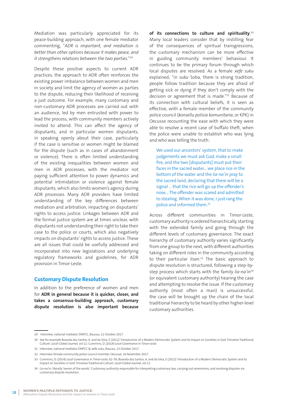Mediation was particularly appreciated for its peace-building approach, with one female mediator commenting, "*ADR is important, and mediation is better than other options because it makes peace, and it strengthens relations between the two parties.*"29

Despite these positive aspects to current ADR practices, the approach to ADR often reinforces the existing power imbalance between women and men in society and limit the agency of women as parties to the dispute, reducing their likelihood of receiving a just outcome. For example, many customary and non-customary ADR processes are carried out with an audience, led by men entrusted with power to lead the process, with community members actively invited to attend. This can affect the agency of disputants, and in particular women disputants, in speaking openly about their case, particularly if the case is sensitive or women might be blamed for the dispute (such as in cases of abandonment or violence). There is often limited understanding of the existing inequalities between women and men in ADR processes, with the mediator not paying sufficient attention to power dynamics and potential intimidation or violence against female disputants, which also limits women's agency during ADR processes. Many ADR providers have limited understanding of the key differences between mediation and arbitration, impacting on disputants' rights to access justice. Linkages between ADR and the formal justice system are at times unclear, with disputants not understanding their right to take their case to the police or courts, which also negatively impacts on disputants' rights to access justice. These are all issues that could be usefully addressed and incorporated into new legislations and underlying regulatory frameworks and guidelines, for ADR provision in Timor-Leste.

# **Customary Dispute Resolution**

In addition to the preference of women and men for **ADR in general because it is quicker, closer, and takes a consensus-building approach, customary dispute resolution is also important because**  **of its connections to culture and spirituality**. 30 Many local leaders consider that by instilling fear of the consequences of spiritual transgressions, the customary mechanism can be more effective in guiding community members' behaviour. It continues to be the primary forum through which local disputes are resolved. As a female *xefe suku* explained, "in *suku* Soba, there is strong tradition, people follow tradition because they are afraid of getting sick or dying if they don't comply with the decision or agreement that is made."31 Because of its connection with cultural beliefs, it is seen as effective, with a female member of the community police council (*konsellu polisia komunitaria*, or KPK) in Oecusse recounting the ease with which they were able to resolve a recent case of buffalo theft, when the police were unable to establish who was lying and who was telling the truth:

We used our ancestors' system, that to make judgements we must ask God, make a small fire, and the two [disputants] must put their faces in the sacred water… we place rice in the bottom of the water and the *lia-na'in* pray to the sacred land, declaring that there will be a signal … that the rice will go up the offender's nose... The offender was scared and admitted to stealing. When it was done, I just rang the police and informed them.32

Across different communities in Timor-Leste, customary authority is ordered hierarchically, starting with the extended family and going through the different levels of customary governance. The exact hierarchy of customary authority varies significantly from one group to the next, with different authorities taking on different roles in the community according to their particular *lisan*. 33 The basic approach to dispute resolution is structured, following a step-bystep process which starts with the family *lia-na'in*<sup>34</sup> (or equivalent customary authority) hearing the case and attempting to resolve the issue. If the customary authority (most often a man) is unsuccessful, the case will be brought up the chain of the local traditional hierarchy to be heard by other higher-level customary authorities.

<sup>29</sup> Interview, national mediator DNPCC, Baucau, 12 October 2017.

<sup>30</sup> See for example Boavida dos Santos, A. and da Silva, E (2012) 'Introduction of a Modern Democratic System and its Impact on Societies in East Timorese Traditional Culture', *Local-Global Journal,* vol 12; Cummins, D. (2014) *Local Governance in Timor-Leste.*

<sup>31</sup> Interview, national mediator DNPCC & xefe suku, Baucau, 13 October 2017.

<sup>32</sup> Interview, female community police council member, Oecusse, 16 November 2017.

<sup>33</sup> Cummins, D. (2014) *Local Governance in Timor-Leste,* 62-78; Boavida dos Santos, A. and da Silva, E (2012) 'Introduction of a Modern Democratic System and its Impact on Societies in East Timorese Traditional Culture', *Local-Global Journal,* vol 12.

<sup>34</sup> Lia-na'in: literally 'owner of the words'. Customary authority responsible for interpreting customary law, carrying out ceremonies, and resolving disputes via customary dispute resolution.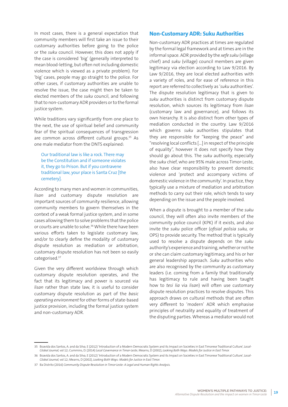In most cases, there is a general expectation that community members will first take an issue to their customary authorities before going to the police or the *suku* council. However, this does not apply if the case is considered 'big' (generally interpreted to mean blood-letting, but often not including domestic violence which is viewed as a private problem). For 'big' cases, people may go straight to the police. For other cases, if customary authorities are unable to resolve the issue, the case might then be taken to elected members of the *suku* council, and following that to non-customary ADR providers or to the formal justice system.

While traditions vary significantly from one place to the next, the use of spiritual belief and community fear of the spiritual consequences of transgression are common across different cultural groups.<sup>35</sup> As one male mediator from the DNTS explained:

Our traditional law is like a rock. There may be the Constitution and if someone violates it, they go to Prison. But if you contravene traditional law, your place is Santa Cruz [the cemetery].

According to many men and women in communities, *lisan* and customary dispute resolution are important sources of community resilience, allowing community members to govern themselves in the context of a weak formal justice system, and in some cases allowing them to solve problems that the police or courts are unable to solve.<sup>36</sup> While there have been various efforts taken to legislate customary law, and/or to clearly define the modality of customary dispute resolution as mediation or arbitration, customary dispute resolution has not been so easily categorised.37

Given the very different worldview through which customary dispute resolution operates, and the fact that its legitimacy and power is sourced via *lisan* rather than state law, it is useful to consider customary dispute resolution as part of the *basic operating environment* for other forms of state-based justice provision, including the formal justice system and non-customary ADR.

### **Non-Customary ADR: Suku Authorities**

Non-customary ADR practices at times are regulated by the formal legal framework and at times are in the informal space. ADR provided by the *xefe suku* (village chief) and *suku* (village) council members are given legitimacy via election according to Law 9/2016. By Law 9/2016, they are local elected authorities with a variety of roles, and for ease of reference in this report are referred to collectively as '*suku* authorities'. The dispute resolution legitimacy that is given to *suku* authorities is distinct from customary dispute resolution, which sources its legitimacy from *lisan* (customary law and governance), and follows its own hierarchy. It is also distinct from other types of mediation conducted in the country. Law 9/2016 which governs *suku* authorities stipulates that they are responsible for "keeping the peace" and "resolving local conflicts […] in respect of the principle of equality", however it does not specify how they should go about this. The *suku* authority, especially the *suku* chief, who are 95% male across Timor-Leste, also have clear responsibility to prevent domestic violence and 'protect and accompany victims of domestic violence in the community'. In practice, they typically use a mixture of mediation and arbitration methods to carry out their role, which tends to vary depending on the issue and the people involved.

When a dispute is brought to a member of the *suku* council, they will often also invite members of the community police council (KPK) if it exists, and also invite the *suku* police officer (*ofisial polisia suku,* or OPS) to provide security. The method that is typically used to resolve a dispute depends on the *suku* authority's experience and training, whether or not he or she can claim customary legitimacy, and his or her general leadership approach. *Suku* authorities who are also recognised by the community as customary leaders (i.e. coming from a family that traditionally has legitimacy to rule and having been taught how to *tesi lia* via *lisan*) will often use customary dispute resolution practices to resolve disputes. This approach draws on cultural methods that are often very different to 'modern' ADR which emphasise principles of neutrality and equality of treatment of the disputing parties. Whereas a mediator would not

<sup>35</sup> Boavida dos Santos, A. and da Silva, E (2012) 'Introduction of a Modern Democratic System and its Impact on Societies in East Timorese Traditional Culture', *Local-Global Journal,* vol 12; Cummins, D. (2014) *Local Governance in Timor-Leste*; Mearns, D (2002), *Looking Both Ways: Models for Justice in East Timor.*

<sup>36</sup> Boavida dos Santos, A. and da Silva, E (2012) 'Introduction of a Modern Democratic System and its Impact on Societies in East Timorese Traditional Culture', *Local-Global Journal,* vol 12; Mearns, D (2002), *Looking Both Ways: Models for Justice in East Timor.*

<sup>37</sup> Ba Distrito (2016) *Community Dispute Resolution in Timor-Leste: A Legal and Human Rights Analysis.*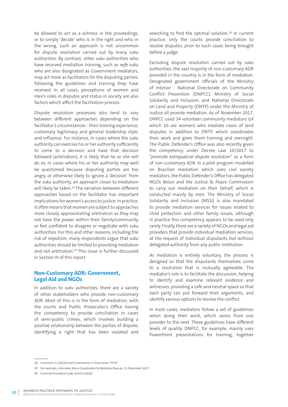be allowed to act as a witness in the proceedings, or to simply 'decide' who is in the right and who in the wrong, such an approach is not uncommon for dispute resolution carried out by many *suku* authorities. By contrast, other *suku* authorities who have received mediation training, such as *xefe suku* who are also designated as Government mediators, may act more as facilitators for the disputing parties, following the guidelines and training they have received. In all cases, perceptions of women and men's roles in disputes and status in society are also factors which affect the facilitation process.

Dispute resolution processes also tend to vary between different approaches depending on the facilitator's circumstances - their training experience, customary legitimacy and general leadership style, and influence. For instance, in cases where the *suku* authority can exercise his or her authority sufficiently to come to a decision and have that decision followed (arbitration), it is likely that he or she will do so. In cases where his or her authority may well be questioned because disputing parties are too angry, or otherwise likely to ignore a 'decision' from the *suku* authority, an approach closer to mediation will likely be taken.<sup>38</sup> The variation between different approaches based on the facilitator has important implications for women's access to justice. In practice, it often means that women are subject to approaches more closely approximating arbitration as they may not have the power within their family/community or feel confident to disagree or negotiate with *suku* authorities. For this and other reasons, including the risk of nepotism, many respondents argue that *suku* authorities should be limited to providing mediation and not arbitration.<sup>39</sup> This issue is further discussed in Section III of this report.

## **Non-Customary ADR: Government, Legal Aid and NGOs**

In addition to *suku* authorities, there are a variety of other stakeholders who provide non-customary ADR. Most of this is in the form of mediation, with the courts and Public Prosecutor's Office having the competency to provide conciliation in cases of semi-public crimes, which involves building a positive relationship between the parties of dispute, identifying a right that has been violated and

searching to find the optimal solution.<sup>40</sup> In current practice, only the courts provide conciliation to resolve disputes, prior to such cases being brought before a judge.

Excluding dispute resolution carried out by *suku* authorities, the vast majority of non-customary ADR provided in the country is in the form of mediation. Designated government officials of the Ministry of Interior - National Directorate on Community Conflict Prevention (DNPCC), Ministry of Social Solidarity and Inclusion, and National Directorate on Land and Property (DNTP) under the Ministry of Justice all provide mediation. As of November 2017, DNPCC used 34 volunteer community mediators (of which 10 are women) who mediate cases of land disputes in addition to DNTP, which coordinates their work and gives them training and oversight. The Public Defender's Office was also recently given the competency under Decree Law 10/2017 to "*promote extrajudicial dispute resolution*" as a form of non-customary ADR. In a pilot program modelled on Brazilian mediation which uses civil society mediators, the Public Defender's Office has delegated NGOs Belun and the Justice & Peace Commission to carry out mediation on their behalf, which is conducted mainly by men. The Ministry of Social Solidarity and Inclusion (MSSI) is also mandated to provide mediation services for issues related to child protection and other family issues, although in practice this competency appears to be used only rarely. Finally, there are a variety of NGOs and legal aid providers that provide individual mediation services, at the request of individual disputants but without delegated authority from any public institution.

As mediation is entirely voluntary, the process is designed so that the disputants themselves come to a resolution that is mutually agreeable. The mediator's role is to facilitate the discussion, helping to identify and examine relevant evidence and witnesses, providing a safe and neutral space so that each party can put forward their arguments, and identify various options to resolve the conflict.

In most cases, mediators follow a set of guidelines when doing their work, which varies from one provider to the next. These guidelines have different levels of quality. DNPCC, for example, mainly uses PowerPoint presentations for training, together

<sup>38</sup> Cummins, D. (2014) *Local Governance in Timor-Leste,* 79-97.

<sup>39</sup> For example, interview, Belun Coordinator & Mediator, Baucau, 11 December 2017

<sup>40</sup> Criminal Procedure Code, Article 216(3)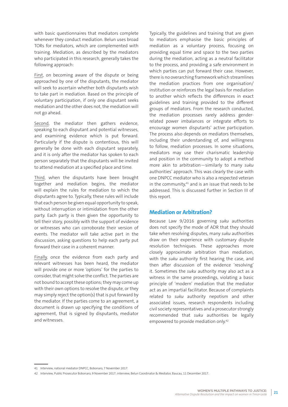with basic questionnaires that mediators complete whenever they conduct mediation. Belun uses broad TORs for mediators, which are complemented with training. Mediation, as described by the mediators who participated in this research, generally takes the following approach:

First, on becoming aware of the dispute or being approached by one of the disputants, the mediator will seek to ascertain whether both disputants wish to take part in mediation. Based on the principle of voluntary participation, if only one disputant seeks mediation and the other does not, the mediation will not go ahead.

Second, the mediator then gathers evidence, speaking to each disputant and potential witnesses, and examining evidence which is put forward. Particularly if the dispute is contentious, this will generally be done with each disputant separately, and it is only after the mediator has spoken to each person separately that the disputants will be invited to attend mediation at a specified place and time.

Third, when the disputants have been brought together and mediation begins, the mediator will explain the rules for mediation to which the disputants agree to. Typically, these rules will include that each person be given equal opportunity to speak, without interruption or intimidation from the other party. Each party is then given the opportunity to tell their story, possibly with the support of evidence or witnesses who can corroborate their version of events. The mediator will take active part in the discussion, asking questions to help each party put forward their case in a coherent manner.

Finally, once the evidence from each party and relevant witnesses has been heard, the mediator will provide one or more 'options' for the parties to consider, that might solve the conflict. The parties are not bound to accept these options; they may come up with their own options to resolve the dispute, or they may simply reject the option(s) that is put forward by the mediator. If the parties come to an agreement, a document is drawn up specifying the conditions of agreement, that is signed by disputants, mediator and witnesses.

Typically, the guidelines and training that are given to mediators emphasise the basic principles of mediation as a voluntary process, focusing on providing equal time and space to the two parties during the mediation, acting as a neutral facilitator to the process, and providing a safe environment in which parties can put forward their case. However, there is no overarching framework which streamlines the mediation practices from one organisation/ institution or reinforces the legal basis for mediation to another which reflects the differences in exact guidelines and training provided to the different groups of mediators. From the research conducted, the mediation processes rarely address genderrelated power imbalances or integrate efforts to encourage women disputants' active participation. The process also depends on mediators themselves, including their understanding of, and willingness to follow, mediation processes. In some situations, mediators may use their charismatic leadership and position in the community to adopt a method more akin to arbitration—similarly to many *suku* authorities' approach. This was clearly the case with one DNPCC mediator who is also a respected veteran in the community, $41$  and is an issue that needs to be addressed. This is discussed further in Section III of this report.

### **Mediation or Arbitration?**

Because Law 9/2016 governing *suku* authorities does not specify the mode of ADR that they should take when resolving disputes, many *suku* authorities draw on their experience with customary dispute resolution techniques. These approaches more closely approximate arbitration than mediation, with the *suku* authority first hearing the case, and then after discussion of the evidence 'resolving' it. Sometimes the *suku* authority may also act as a witness in the same proceedings, violating a basic principle of 'modern' mediation that the mediator act as an impartial facilitator. Because of complaints related to *suku* authority nepotism and other associated issues, research respondents including civil society representatives and a prosecutor strongly recommended that *suku* authorities be legally empowered to provide mediation only.42

<sup>41</sup> Interview, national mediator DNPCC, Bobonaro, 7 November 2017.

<sup>42</sup> Interview, Public Prosecutor Bobonaro, 9 November 2017; interview, Belun Coordinator & Mediator, Baucau, 11 December 2017.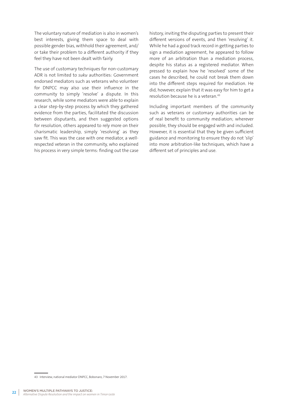The voluntary nature of mediation is also in women's best interests, giving them space to deal with possible gender bias, withhold their agreement, and/ or take their problem to a different authority if they feel they have not been dealt with fairly.

The use of customary techniques for non-customary ADR is not limited to *suku* authorities: Government endorsed mediators such as veterans who volunteer for DNPCC may also use their influence in the community to simply 'resolve' a dispute. In this research, while some mediators were able to explain a clear step-by-step process by which they gathered evidence from the parties, facilitated the discussion between disputants, and then suggested options for resolution, others appeared to rely more on their charismatic leadership, simply 'resolving' as they saw fit. This was the case with one mediator, a wellrespected veteran in the community, who explained his process in very simple terms: finding out the case

history, inviting the disputing parties to present their different versions of events, and then 'resolving' it. While he had a good track record in getting parties to sign a mediation agreement, he appeared to follow more of an arbitration than a mediation process, despite his status as a registered mediator. When pressed to explain how he 'resolved' some of the cases he described, he could not break them down into the different steps required for mediation. He did, however, explain that it was easy for him to get a resolution because he is a veteran.43

Including important members of the community such as veterans or customary authorities can be of real benefit to community mediation; wherever possible, they should be engaged with and included. However, it is essential that they be given sufficient guidance and monitoring to ensure they do not 'slip' into more arbitration-like techniques, which have a different set of principles and use.

<sup>43</sup> Interview, national mediator DNPCC, Bobonaro, 7 November 2017.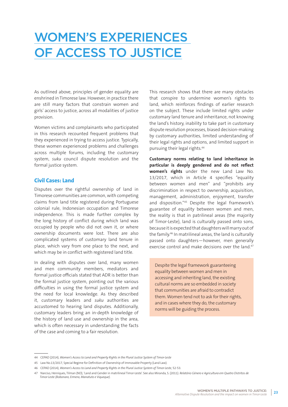# WOMEN'S EXPERIENCES OF ACCESS TO JUSTICE

As outlined above, principles of gender equality are enshrined in Timorese law. However, in practice there are still many factors that constrain women and girls' access to justice, across all modalities of justice provision.

Women victims and complainants who participated in this research recounted frequent problems that they experienced in trying to access justice. Typically, these women experienced problems and challenges across multiple forums, including the customary system, *suku* council dispute resolution and the formal justice system.

### **Civil Cases: Land**

Disputes over the rightful ownership of land in Timorese communities are common, with competing claims from land title registered during Portuguese colonial rule, Indonesian occupation and Timorese independence. This is made further complex by the long history of conflict during which land was occupied by people who did not own it, or where ownership documents were lost. There are also complicated systems of customary land tenure in place, which vary from one place to the next, and which may be in conflict with registered land title.

In dealing with disputes over land, many women and men community members, mediators and formal justice officials stated that ADR is better than the formal justice system, pointing out the various difficulties in using the formal justice system and the need for local knowledge. As they described it, customary leaders and *suku* authorities are accustomed to hearing land disputes. Additionally, customary leaders bring an in-depth knowledge of the history of land use and ownership in the area, which is often necessary in understanding the facts of the case and coming to a fair resolution.

This research shows that there are many obstacles that conspire to undermine women's rights to land, which reinforces findings of earlier research on the subject. These include limited rights under customary land tenure and inheritance, not knowing the land's history, inability to take part in customary dispute resolution processes, biased decision-making by customary authorities, limited understanding of their legal rights and options, and limited support in pursuing their legal rights.44

**Customary norms relating to land inheritance in particular is deeply gendered and do not reflect women's rights** under the new Land Law No. 13/2017, which in Article 4 specifies "equality between women and men" and "prohibits any discrimination in respect to ownership, acquisition, management, administration, enjoyment, transfer and disposition."45 Despite the legal framework's guarantee of equality between women and men, the reality is that in patrilineal areas (the majority of Timor-Leste), land is culturally passed onto sons, because it is expected that daughters will marry out of the family.46 In matrilineal areas, the land is culturally passed onto daughters—however, men generally exercise control and make decisions over the land.<sup>47</sup>

Despite the legal framework guaranteeing equality between women and men in accessing and inheriting land, the existing cultural norms are so embedded in society that communities are afraid to contradict them. Women tend not to ask for their rights, and in cases where they do, the customary norms will be guiding the process.

<sup>44</sup> CEPAD (2014), *Women's Access to Land and Property Rights in the Plural Justice System of Timor-Leste*

<sup>45</sup> Law No.13/2017, Special Regime for Definition of Ownership of Immovable Property (Land Law).

<sup>46</sup> CEPAD (2014), *Women's Access to Land and Property Rights in the Plural Justice System of Timor-Leste,* 52-53.

<sup>47</sup> Narciso, Henriques, Tilman (ND), 'Land and Gender in matrilineal Timor-Leste'. See also Miranda, S. (2011). *Relatório Género e Agricultura em Quatro Distritos de Timor-Leste (Bobonaro, Ermera, Manatuto e Viqueque).*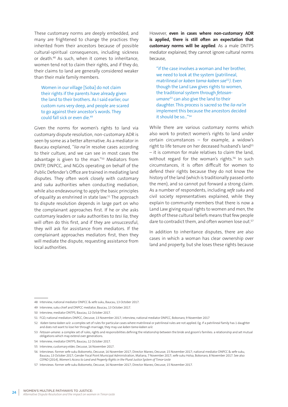These customary norms are deeply embedded, and many are frightened to change the practices they inherited from their ancestors because of possible cultural-spiritual consequences, including sickness or death.48 As such, when it comes to inheritance, women tend not to claim their rights, and if they do, their claims to land are generally considered weaker than their male family members.

Women in our village [Soba] do not claim their rights if the parents have already given the land to their brothers. As I said earlier, our custom runs very deep, and people are scared to go against their ancestor's words. They could fall sick or even die.49

Given the norms for women's rights to land via customary dispute resolution, non-customary ADR is seen by some as a better alternative. As a mediator in Baucau explained, "*lia-na'in* resolve cases according to their culture, and we can see in most cases the advantage is given to the man."<sup>50</sup> Mediators from DNTP, DNPCC, and NGOs operating on behalf of the Public Defender's Office are trained in mediating land disputes. They often work closely with customary and *suku* authorities when conducting mediation, while also endeavouring to apply the basic principles of equality as enshrined in state law.<sup>51</sup> The approach to dispute resolution depends in large part on who the complainant approaches first. If he or she asks customary leaders or *suku* authorities to *tesi lia*, they will often do this first, and if they are unsuccessful, they will ask for assistance from mediators. If the complainant approaches mediators first, then they will mediate the dispute, requesting assistance from local authorities.

However, **even in cases where non-customary ADR is applied, there is still often an expectation that customary norms will be applied**. As a male DNTPS mediator explained, they cannot ignore cultural norms because,

"if the case involves a woman and her brother, we need to look at the system (patrilineal, matrilineal or *kaben tama-kaben sae*<sup>52</sup>*)*. Even though the Land Law gives rights to women, the traditional system through *fetosanumane*53 can also give the land to their daughter. This process is sacred so the *lia-na'in* implement this because the ancestors decided it should be so…"54

While there are various customary norms which also work to protect women's rights to land under certain circumstances – for example, a widow's right to life tenure on her deceased husband's land<sup>55</sup> – it is common for male relatives to claim the land, without regard for the woman's rights.<sup>56</sup> In such circumstances, it is often difficult for women to defend their rights because they do not know the history of the land (which is traditionally passed onto the men), and so cannot put forward a strong claim. As a number of respondents, including *xefe suku* and civil society representatives explained, while they explain to community members that there is now a Land Law giving equal rights to women and men, the depth of these cultural beliefs means that few people dare to contradict them, and often women lose out.<sup>57</sup>

In addition to inheritance disputes, there are also cases in which a woman has clear ownership over land and property, but she loses these rights because

<sup>48</sup> Interview, national mediator DNPCC & xefe suku, Baucau, 13 October 2017.

<sup>49</sup> Interview, suku chief and DNPCC mediator, Baucau, 13 October 2017.

<sup>50</sup> Interview, mediator DNTPS, Baucau, 12 October 2017.

<sup>51</sup> FGD, national mediators DNPCC, Oecusse, 13 November 2017; interview, national mediator DNPCC, Bobonaro, 9 November 2017

<sup>52</sup> *Kaben tama-kaben sa'e*: a complex set of rules for particular cases where matrilineal or patrilineal rules are not applied. Eg. if a patrilineal family has 1 daughter and does not want to lose her through marriage, they may use *kaben tama-kaben sa'e.*

<sup>53</sup> *Fetosan-umane:* a complex set of rules, rights and responsibilities defining the relationship between the bride and groom's families: a relationship and set mutual obligations which may extend over generations.

<sup>54</sup> Interview, mediator DNTPS, Baucau, 12 October 2017.

<sup>55</sup> Interview, customary elder, Oecusse, 16 November 2017.

<sup>56</sup> Interviews: former xefe suku Bobometo, Oecusse, 16 November 2017; Director Maneo, Oecusse, 15 November 2017; national mediator DNPCC & xefe suku, Baucau, 13 October 2017; Gender Focal Point Municipal Administration, Maliana, 7 November 2017; xefe suku Holsa, Bobonaro, 8 November 2017. See also CEPAD (2014), *Women's Access to Land and Property Rights in the Plural Justice System of Timor-Leste*

<sup>57</sup> Interviews: former xefe suku Bobometo, Oecusse, 16 November 2017; Director Maneo, Oecusse, 15 November 2017.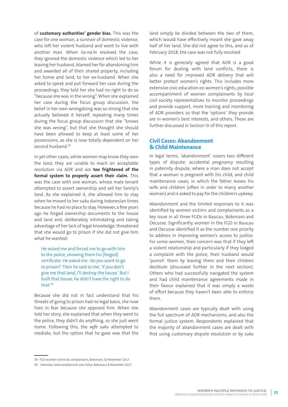of **customary authorities' gender bias.** This was the case for one woman, a survivor of domestic violence, who left her violent husband and went to live with another man. When *lia-na'in* resolved the case, they ignored the domestic violence which led to her leaving her husband, blamed her for abandoning him and awarded all of their shared property, including her home and land, to her ex-husband. When she asked to speak and put forward her case during the proceedings, they told her she had no right to do so "because she was in the wrong". When she explained her case during the focus group discussion, the belief in her own wrongdoing was so strong that she actually believed it herself, repeating many times during the focus group discussion that she "knows she was wrong", but that she thought she should have been allowed to keep at least some of her possessions, as she is now totally dependent on her second husband.<sup>58</sup>

In yet other cases, while women may know they own the land, they are unable to reach an acceptable resolution via ADR and are **too frightened of the formal system to properly assert their claim.** This was the case with one woman, whose male tenant attempted to assert ownership and sell her family's land. As she explained it, she allowed him to stay when he moved to her *suku* during Indonesian times because he had no place to stay. However, a few years ago he forged ownership documents to the house and land and, deliberately intimidating and taking advantage of her lack of legal knowledge, threatened that she would go to prison if she did not give him what he wanted:

He seized me and forced me to go with him to the police, showing them his [forged] certificate. He asked me: 'do you want to go to prison?' Then he said to me, 'if you don't give me that land, I'll destroy the house.' But I built that house, he didn't have the right to do that.59

Because she did not in fact understand that his threats of going to prison had no legal basis, she now lives in fear because she opposed him. When she told her story, she explained that when they went to the police, they didn't do anything, so she just went home. Following this, the *xefe suku* attempted to mediate, but the option that he gave was that the land simply be divided between the two of them, which would have effectively meant she gave away half of her land. She did not agree to this, and as of February 2018, the case was not fully resolved.

While it is generally agreed that ADR is a good forum for dealing with land conflicts, there is also a need for improved ADR delivery that will better protect women's rights. This includes more extensive civic education on women's rights, possible accompaniment of women complainants by local civil society representatives to monitor proceedings and provide support, more training and monitoring of ADR providers so that the 'options' they provide are in women's best interests, and others. These are further discussed in Section IV of this report.

# **Civil Cases: Abandonment & Child Maintenance**

In legal terms, 'abandonment' covers two different types of dispute: accidental pregnancy resulting in paternity dispute, where a man does not accept that a woman is pregnant with his child, and child maintenance cases, in which the father leaves his wife and children (often in order to marry another woman) and is asked to pay for the children's upkeep.

Abandonment and the limited responses to it was identified by women victims and complainants as a key issue in all three FGDs in Baucau, Bobonaro and Oecusse. Significantly, women in the FGD in Baucau and Oecusse identified it as the number one priority to address in improving women's access to justice. For some women, their concern was that if they left a violent relationship and particularly if they lodged a complaint with the police, their husband would 'punish' them by leaving them and their children destitute (discussed further in the next section). Others who had successfully navigated the system and had child maintenance agreements made in their favour explained that it was simply a waste of effort because they haven't been able to enforce them.

Abandonment cases are typically dealt with using the full spectrum of ADR mechanisms, and also the formal justice system. Respondents explained that the majority of abandonment cases are dealt with first using customary dispute resolution or by *suku*

<sup>58</sup> FGD women victims & complainants, Bobonaro, 10 November 2017

<sup>59</sup> Interview, land complainant *suku* Holsa, Bobonaro, 8 November 2017.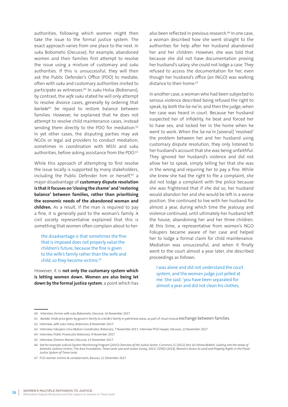authorities, following which women might then take the issue to the formal justice system. The exact approach varies from one place to the next. In *suku* Bobometo (Oecusse), for example, abandoned women and their families first attempt to resolve the issue using a mixture of customary and *suku* authorities. If this is unsuccessful, they will then ask the Public Defender's Office (PDO) to mediate, often with *suku* and customary authorities invited to participate as witnesses.60 In *suku* Holsa (Bobonaro), by contrast, the *xefe suku* stated he will only attempt to resolve divorce cases, generally by ordering that *barlake*61 be repaid to restore balance between families. However, he explained that he does not attempt to resolve child maintenance cases, instead sending them directly to the PDO for mediation.<sup>62</sup> In yet other cases, the disputing parties may ask NGOs or legal aid providers to conduct mediation, sometimes in coordination with MSSI and *suku* authorities, before asking assistance from the PDO.<sup>63</sup>

While this approach of attempting to first resolve the issue locally is supported by many stakeholders, including the Public Defender him or herself,<sup>64</sup> a major disadvantage of **customary dispute resolution is that it focuses on 'closing the shame' and 'restoring balance' between families, rather than prioritising the economic needs of the abandoned woman and children.** As a result, if the man is required to pay a fine, it is generally paid to the woman's family. A civil society representative explained that this is something that women often complain about to her:

the disadvantage is that sometimes the fine that is imposed does not properly value the children's future, because the fine is given to the wife's family rather than the wife and child, so they become victims.<sup>65</sup>

However, it is **not only the customary system which is letting women down. Women are also being let down by the formal justice system**, a point which has also been reflected in previous research.<sup>66</sup> In one case, a woman described how she went straight to the authorities for help after her husband abandoned her and her children. However, she was told that because she did not have documentation proving her husband's salary, she could not lodge a case. They refused to access the documentation for her, even though her husband's office (an INGO) was walking distance to their home.<sup>67</sup>

In another case, a woman who had been subjected to serious violence described being refused the right to speak, by *both* the *lia-na'in,* and then the judge, when her case was heard in court. Because her husband suspected her of infidelity, he beat and forced her to have sex, and locked her in the home when he went to work. When the *lia-na'in* [several] 'resolved' the problem between her and her husband using customary dispute resolution, they only listened to her husband's account that she was being unfaithful. They ignored her husband's violence and did not allow her to speak, simply telling her that she was in the wrong and requiring her to pay a fine. While she knew she had the right to file a complaint, she did not lodge a complaint with the police because she was frightened that if she did so, her husband would abandon her and she would be left in a worse position. She continued to live with her husband for almost a year, during which time the jealousy and violence continued, until ultimately her husband left the house, abandoning her and her three children. At this time, a representative from women's NGO Fokupers became aware of her case and helped her to lodge a formal claim for child maintenance. Mediation was unsuccessful, and when it finally went to the court almost a year later, she described proceedings as follows:

I was alone and did not understand the court system, and the woman judge just yelled at me. She said: 'you have been separated for almost a year and did not clean his clothes,

<sup>60</sup> Interview, former xefe suku Bobometo, Oecusse, 16 November 2017.

<sup>61</sup> *Barlake*: bride price given by groom's family to a bride's family in patrilineal areas, as part of ritual mutual exchange between families.

<sup>62</sup> Interview, xefe suku Holsa, Bobonaro, 8 November 2017.

<sup>63</sup> Interview, Fokupers Uma Mahon Coordinator, Bobonaro, 7 November 2017; interview FFSO lawyer, Oecusse, 13 November 2017

<sup>64</sup> Interview, Public Prosecutor Bobonaro, 9 November 2017

<sup>65</sup> Interview, Director Maneo, Oecusse, 15 November 2017.

<sup>66</sup> See for example Judicial System Monitoring Program (2015) *Overview of the Justice Sector*; Cummins, D. (2012) *Ami Sei Vitima Beibeik: Looking into the needs of domestic violence victims*; The Asia Foundation, *Timor-Leste Law and Justice Survey*, 2013; CEPAD (2014), *Women's Access to Land and Property Rights in the Plural Justice System of Timor-Leste.*

<sup>67</sup> FGD women victims & complainants, Baucau, 12 December 2017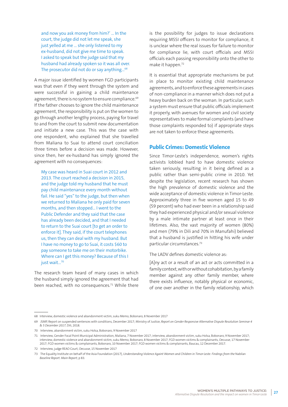and now you ask money from him?' … In the court, the judge did not let me speak, she just yelled at me … she only listened to my ex-husband, did not give me time to speak. I asked to speak but the judge said that my husband had already spoken so it was all over. The prosecutor did not do or say anything...<sup>68</sup>

A major issue identified by women FGD participants was that even if they went through the system and were successful in gaining a child maintenance agreement, there is no system to ensure compliance.<sup>69</sup> If the father chooses to ignore the child maintenance agreement, the responsibility is put on the women to go through another lengthy process, paying for travel to and from the court to submit new documentation and initiate a new case. This was the case with one respondent, who explained that she travelled from Maliana to Suai to attend court conciliation three times before a decision was made. However, since then, her ex-husband has simply ignored the agreement with no consequences:

My case was heard in Suai court in 2012 and 2013. The court reached a decision in 2015, and the judge told my husband that he must pay child maintenance every month without fail. He said "yes" to the judge, but then when we returned to Maliana he only paid for seven months, and then stopped… I went to the Public Defender and they said that the case has already been decided, and that I needed to return to the Suai court [to get an order to enforce it]. They said, if the court telephones us, then they can deal with my husband. But I have no money to go to Suai, it costs \$60 to pay someone to take me on their motorbike. Where can I get this money? Because of this I just wait...<sup>70</sup>

The research team heard of many cases in which the husband simply ignored the agreement that had been reached, with no consequences.<sup>71</sup> While there is the possibility for judges to issue declarations requiring MSSI officers to monitor for compliance, it is unclear where the real issues for failure to monitor for compliance lie, with court officials and MSSI officials each passing responsibility onto the other to make it happen.72

It is essential that appropriate mechanisms be put in place to monitor existing child maintenance agreements, and to enforce these agreements in cases of non-compliance in a manner which does not put a heavy burden back on the woman. In particular, such a system must ensure that public officials implement it properly, with avenues for women and civil society representatives to make formal complaints (and have those complaints responded to) if appropriate steps are not taken to enforce these agreements.

# **Public Crimes: Domestic Violence**

Since Timor-Leste's independence, women's rights activists lobbied hard to have domestic violence taken seriously, resulting in it being defined as a public rather than semi-public crime in 2010. Yet despite the legislation, recent research has shown the high prevalence of domestic violence and the wide acceptance of domestic violence in Timor-Leste. Approximately three in five women aged 15 to 49 (59 percent) who had ever been in a relationship said they had experienced physical and/or sexual violence by a male intimate partner at least once in their lifetimes. Also, the vast majority of women (80%) and men (79% in Dili and 70% in Manufahi) believed that a husband is justified in hitting his wife under particular circumstances.73

The LADV defines domestic violence as:

[A]ny act or a result of an act or acts committed in a family context, with or without cohabitation, by a family member against any other family member, where there exists influence, notably physical or economic, of one over another in the family relationship, which

<sup>68</sup> Interview, domestic violence and abandonment victim, suku Memo, Bobonaro, 8 November 2017

<sup>69</sup> JSMP, Report on suspended sentences with conditions, December 2017; Ministry of Justice, *Report on Gender Responsive Alternative Dispute Resolution Seminar 4 & 5 December 2017*, Dili, 2018.

<sup>70</sup> Interview, abandonment victim, suku Holsa, Bobonaro, 9 November 2017

<sup>71</sup> Interview, Gender Focal Point Municipal Administration, Maliana, 7 November 2017; interview, abandonment victim, suku Holsa, Bobonaro, 9 November 2017; interview, domestic violence and abandonment victim, suku Memo, Bobonaro, 8 November 2017; FGD women victims & complainants, Oecusse, 17 November 2017; FGD women victims & complainants, Bobonaro, 10 November 2017; FGD women victims & complainants, Baucau, 12 December 2017.

<sup>72</sup> Interview, judge REAO Court, Oecusse, 15 November 2017

<sup>73</sup> The Equality Institute on behalf of the Asia Foundation (2017), *Understanding Violence Againt Women and Children in Timor-Leste: Findings from the* Nabilan *Baseline Report. Main Report;* p 83.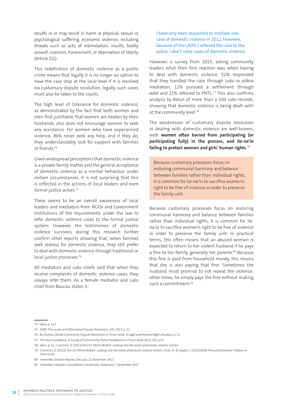results in or may result in harm or physical, sexual or psychological suffering, economic violence, including threats such as acts of intimidation, insults, bodily assault, coercion, harassment, or deprivation of liberty (Article 2(1).

This redefinition of domestic violence as a public crime means that legally it is no longer an option to have the case stop at the local level if it is resolved via customary dispute resolution; legally, such cases must also be taken to the courts.

The high level of tolerance for domestic violence, as demonstrated by the fact that both women and men find justifiable that women are beaten by their husbands, also does not encourage women to seek any assistance. For women who have experienced violence, 86% never seek any help, and if they do, they understandably look for support with families or friends.74

Given widespread perceptions that domestic violence is a private family matter and the general acceptance of domestic violence as a normal behaviour under certain circumstances, it is not surprising that this is reflected in the actions of local leaders and even formal justice actors.<sup>75</sup>

There seems to be an overall awareness of local leaders and mediators from NGOs and Government institutions of the requirements under the law to refer domestic violence cases to the formal justice system. However, the testimonies of domestic violence survivors during this research further confirm other reports showing that, when families seek redress for domestic violence, they still prefer to deal with domestic violence through traditional or local justice processes.<sup>76</sup>

All mediators and *suku* chiefs said that when they receive complaints of domestic violence cases, they always refer them. As a female mediator and *suku* chief from Baucau states it:

I have only been requested to mediate one case of domestic violence in 2012. However, because of the LADV, I referred the case to the police. I don't solve cases of domestic violence.

However, a survey from 2015, asking community leaders what their first reaction was when having to deal with domestic violence, 52% responded that they handled the case through *suku* or *aldeia* mediation, 12% pursued a settlement through *adat* and 21% referred to PNTL.77 This also confirms analysis by Belun of more than a 100 *suku* records, showing that domestic violence is being dealt with at the community level.<sup>78</sup>

The weaknesses of customary dispute resolution in dealing with domestic violence are well-known, with **women often barred from participating (or participating fully) in the process, and** *lia-na'in* **failing to protect women and girls' human rights**. 79

Because customary processes focus on restoring communal harmony and balance between families rather than individual rights, it is common for *lia-na'in* to sacrifice women's right to be free of violence in order to preserve the family unit.

Because customary processes focus on restoring communal harmony and balance between families rather than individual rights, it is common for *liana'in* to sacrifice women's right to be free of violence in order to preserve the family unit. In practical terms, this often means that an abused woman is expected to return to her violent husband if he pays a fine to her family, generally her parents.<sup>80</sup> Because this fine is paid from household money, this means that she is also paying that fine. Sometimes the husband must promise to not repeat the violence; other times, he simply pays the fine without making such a commitment.<sup>81</sup>

78 idem, p. 11; Cummins, D. (2012) *Ami Sei Vitima Beibeik: Looking into the needs of domestic violence victims*

79 Cummins, D. (2012) *Ami Sei Vitima Beibeik: Looking into the needs of domestic violence victims;* Khan, N. & Hayati, S. (2012) *Bride Price and Domestic Violence in Timor-Leste.*

<sup>74</sup> Idem, p. 113

<sup>75</sup> JSMP, The courts and Alternative Dispute Resolution, Dili, 2017, p. 11.

<sup>76</sup> Ba Distrito (2016) Community Dispute Resolution in Timor-Leste: A Legal and Human Rights Analysis, p. 11.

<sup>77</sup> The Asia Foundation, A Survey of Community-Police Perceptions in Timor-Leste 2015, Dili, p.55.

<sup>80</sup> Interview, Director Maneo, Oecusse, 15 November 2017.

<sup>81</sup> Interview, Fokupers Uma Mahon Coordinator, Bobonaro, 7 November 2017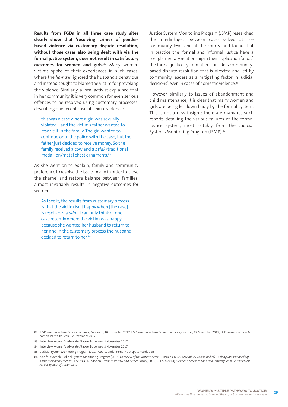**Results from FGDs in all three case study sites clearly show that 'resolving' crimes of genderbased violence via customary dispute resolution, without those cases also being dealt with via the formal justice system, does not result in satisfactory outcomes for women and girls.**82 Many women victims spoke of their experiences in such cases, where the *lia-na'in* ignored the husband's behaviour and instead sought to blame the victim for provoking the violence. Similarly, a local activist explained that in her community it is very common for even serious offences to be resolved using customary processes, describing one recent case of sexual violence:

this was a case where a girl was sexually violated… and the victim's father wanted to resolve it in the family. The girl wanted to continue onto the police with the case, but the father just decided to receive money. So the family received a cow and a *belak* (traditional medallion/metal chest ornament).83

As she went on to explain, family and community preference to resolve the issue locally, in order to 'close the shame' and restore balance between families, almost invariably results in negative outcomes for women:

As I see it, the results from customary process is that the victim isn't happy when [the case] is resolved via *adat*. I can only think of one case recently where the victim was happy because she wanted her husband to return to her, and in the customary process the husband decided to return to her.<sup>84</sup>

Justice System Monitoring Program (JSMP) researched the interlinkages between cases solved at the community level and at the courts, and found that in practice the 'formal and informal justice have a complementary relationship in their application [and…] the formal justice system often considers communitybased dispute resolution that is directed and led by community leaders as a mitigating factor in judicial decisions', even in cases of domestic violence.<sup>85</sup>

However, similarly to issues of abandonment and child maintenance, it is clear that many women and girls are being let down badly by the formal system. This is not a new insight: there are many research reports detailing the various failures of the formal justice system, most notably from the Judicial Systems Monitoring Program (JSMP).<sup>86</sup>

<sup>82</sup> FGD women victims & complainants, Bobonaro, 10 November 2017; FGD women victims & complainants, Oecusse, 17 November 2017; FGD women victims & complainants, Baucau, 12 December 2017.

<sup>83</sup> Interview, women's advocate Atabae, Bobonaro, 8 November 2017

<sup>84</sup> Interview, women's advocate Atabae, Bobonaro, 8 November 2017

<sup>85</sup> Judicial System Monitoring Program (2017) Courts and Alternative Dispute Resolution,

<sup>86</sup> See for example Judicial System Monitoring Program (2015) *Overview of the Justice Sector;* Cummins, D. (2012) *Ami Sei Vitima Beibeik: Looking into the needs of domestic violence victims*; The Asia Foundation, *Timor-Leste Law and Justice Survey*, 2013; CEPAD (2014), *Women's Access to Land and Property Rights in the Plural Justice System of Timor-Leste.*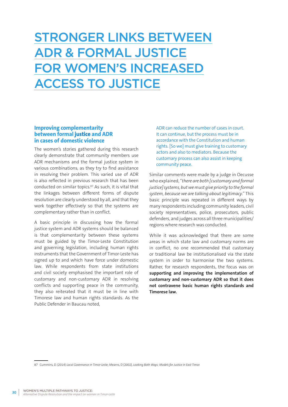# STRONGER LINKS BETWEEN ADR & FORMAL JUSTICE FOR WOMEN'S INCREASED ACCESS TO JUSTICE

## **Improving complementarity between formal justice and ADR in cases of domestic violence**

The women's stories gathered during this research clearly demonstrate that community members use ADR mechanisms and the formal justice system in various combinations, as they try to find assistance in resolving their problem. This varied use of ADR is also reflected in previous research that has been conducted on similar topics.87 As such, it is vital that the linkages between different forms of dispute resolution are clearly understood by all, and that they work together effectively so that the systems are complementary rather than in conflict.

A basic principle in discussing how the formal justice system and ADR systems should be balanced is that complementarity between these systems must be guided by the Timor-Leste Constitution and governing legislation, including human rights instruments that the Government of Timor-Leste has signed up to and which have force under domestic law. While respondents from state institutions and civil society emphasised the important role of customary and non-customary ADR in resolving conflicts and supporting peace in the community, they also reiterated that it must be in line with Timorese law and human rights standards. As the Public Defender in Baucau noted,

ADR can reduce the number of cases in court. It can continue, but the process must be in accordance with the Constitution and human rights. [So we] must give training to customary actors and also to mediators. Because the customary process can also assist in keeping community peace.

Similar comments were made by a judge in Oecusse who explained, "*there are both [customary and formal justice] systems, but we must give priority to the formal system, because we are talking about legitimacy*." This basic principle was repeated in different ways by many respondents including community leaders, civil society representatives, police, prosecutors, public defenders, and judges across all three municipalities/ regions where research was conducted.

While it was acknowledged that there are some areas in which state law and customary norms are in conflict, no one recommended that customary or traditional law be institutionalised via the state system in order to harmonise the two systems. Rather, for research respondents, the focus was on **supporting and improving the implementation of customary and non-customary ADR so that it does not contravene basic human rights standards and Timorese law.** 

87 Cummins, D. (2014) *Local Governance in Timor-Leste;* Mearns, D (2002), *Looking Both Ways: Models for Justice in East Timor.*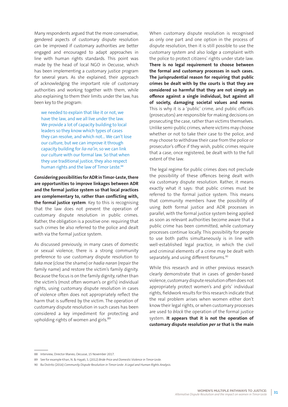Many respondents argued that the more conservative, gendered aspects of customary dispute resolution can be improved if customary authorities are better engaged and encouraged to adapt approaches in line with human rights standards. This point was made by the head of local NGO in Oecusse, which has been implementing a customary justice program for several years. As she explained, their approach of acknowledging the important role of customary authorities and working together with them, while also explaining to them their limits under the law, has been key to the program:

we needed to explain that like it or not, we have the law, and we all live under the law. We provide a lot of capacity building to local leaders so they know which types of cases they can resolve, and which not… We can't lose our culture, but we can improve it through capacity building for *lia-na'in*, so we can link our culture with our formal law. So that when they use traditional justice, they also respect human rights and the law of Timor Leste.<sup>88</sup>

**Considering possibilities for ADR in Timor-Leste, there are opportunities to improve linkages between ADR and the formal justice system so that local practices are complementary to, rather than conflicting with, the formal justice system**. Key to this is recognising that the law does not prevent the operation of customary dispute resolution in public crimes. Rather, the obligation is a positive one: requiring that such crimes be also referred to the police and dealt with via the formal justice system.

As discussed previously, in many cases of domestic or sexual violence, there is a strong community preference to use customary dispute resolution to *taka moe* (close the shame) or *hadia naran* (repair the family name) and restore the victim's family dignity. Because the focus is on the family dignity, rather than the victim's (most often woman's or girl's) individual rights, using customary dispute resolution in cases of violence often does not appropriately reflect the harm that is suffered by the victim. The operation of customary dispute resolution in such cases has been considered a key impediment for protecting and upholding rights of women and girls.<sup>89</sup>

When customary dispute resolution is recognised as only one part and one option in the process of dispute resolution, then it is still possible to use the customary system and also lodge a complaint with the police to protect citizens' rights under state law. **There is no legal requirement to choose between the formal and customary processes in such cases. The jurisprudential reason for requiring that public crimes be dealt with by the courts is that they are considered so harmful that they are not simply an offence against a single individual, but against all of society, damaging societal values and norms**. This is why it is a 'public' crime, and public officials (prosecutors) are responsible for making decisions on prosecuting the case, rather than victims themselves. Unlike semi-public crimes, where victims may choose whether or not to take their case to the police, and may choose to withdraw their case from the police or prosecutor's office if they wish, public crimes require that a case, once registered, be dealt with to the full extent of the law.

The legal regime for public crimes does not preclude the possibility of these offences being dealt with via customary dispute resolution. Rather, it means exactly what it says: that public crimes must be referred to the formal justice system. This means that community members have the possibility of using *both* formal justice and ADR processes in parallel, with the formal justice system being applied as soon as relevant authorities become aware that a public crime has been committed, while customary processes continue locally. This possibility for people to use both paths simultaneously is in line with well-established legal practice, in which the civil and criminal elements of a crime may be dealt with separately, and using different forums.<sup>90</sup>

While this research and in other previous research clearly demonstrate that in cases of gender-based violence, customary dispute resolution often does not appropriately protect women's and girls' individual rights, fieldwork results for this research indicate that the real problem arises when women either don't know their legal rights, or when customary processes are used to *block* the operation of the formal justice system. **It appears that it is not the operation of customary dispute resolution** *per se* **that is the main** 

<sup>88</sup> Interview, Director Maneo, Oecusse, 15 November 2017.

<sup>89</sup> See for example Khan, N. & Hayati, S. (2012) *Bride Price and Domestic Violence in Timor-Leste.*

<sup>90</sup> Ba Distrito (2016) *Community Dispute Resolution in Timor-Leste: A Legal and Human Rights Analysis.*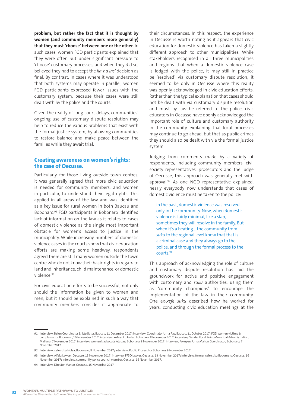**problem, but rather the fact that it is thought by women (and community members more generally) that they must 'choose' between one or the other.** In such cases, women FGD participants explained that they were often put under significant pressure to 'choose' customary processes, and when they did so, believed they had to accept the *lia-na'ins'* decision as final. By contrast, in cases where it was understood that both systems may operate in parallel, women FGD participants expressed fewer issues with the customary system, because their cases were still dealt with by the police and the courts.

Given the reality of long court delays, communities' ongoing use of customary dispute resolution may help to reduce the various problems that exist with the formal justice system, by allowing communities to restore balance and make peace between the families while they await trial.

# **Creating awareness on women's rights: the case of Oecusse.**

Particularly for those living outside town centres, it was generally agreed that more civic education is needed for community members, and women in particular, to understand their legal rights. This applied in all areas of the law and was identified as a key issue for rural women in both Baucau and Bobonaro.91 FGD participants in Bobonaro identified lack of information on the law as it relates to cases of domestic violence as the single most important obstacle for women's access to justice in the municipality. While increasing numbers of domestic violence cases in the courts show that civic education efforts are making some headway, respondents agreed there are still many women outside the town centre who do not know their basic rights in regard to land and inheritance, child maintenance, or domestic violence.92

For civic education efforts to be successful, not only should the information be given to women and men, but it should be explained in such a way that community members consider it appropriate to their circumstances. In this respect, the experience in Oecusse is worth noting as it appears that civic education for domestic violence has taken a slightly different approach to other municipalities. While stakeholders recognised in all three municipalities and regions that when a domestic violence case is lodged with the police, it may still in practice be 'resolved' via customary dispute resolution, it seemed to be only in Oecusse where this reality was openly acknowledged in civic education efforts. Rather than the typical explanation that cases should not be dealt with via customary dispute resolution and must by law be referred to the police, civic educators in Oecusse have openly acknowledged the important role of culture and customary authority in the community, explaining that local processes may continue to go ahead, but that as public crimes they should also be dealt with via the formal justice system.

Judging from comments made by a variety of respondents, including community members, civil society representatives, prosecutors and the judge of Oecusse, this approach was generally met with approval.93 As one NGO representative explained, nearly everybody now understands that cases of domestic violence must be taken to the police:

in the past, domestic violence was resolved only in the community. Now, when domestic violence is fairly minimal, like a slap, sometimes they will resolve in the family. But when it's a beating… the community from *suku* to the regional level know that that is a criminal case and they always go to the police, and through the formal process to the courts.94

This approach of acknowledging the role of culture and customary dispute resolution has laid the groundwork for active and positive engagement with customary and *suku* authorities, using them as 'community champions' to encourage the implementation of the law in their community. One ex-*xefe suku* described how he worked for years, conducting civic education meetings at the

<sup>91</sup> Interview, Belun Coordinator & Mediator, Baucau, 11 December 2017; interview, Coordinator Uma Pas, Baucau, 11 October 2017; FGD women victims & complainants, Bobonaro, 10 November 2017; interview, xefe suku Holsa, Bobonaro, 8 November 2017; interview, Gender Focal Point Municipal Administration, Maliana, 7 November 2017; interview, women's advocate Atabae, Bobonaro, 8 November 2017; interview, Fokupers Uma Mahon Coordinator, Bobonaro, 7 November 2017.

<sup>92</sup> Interview, xefe suku Holsa, Bobonaro, 8 November 2017; interview, Public Prosecutor Bobonaro, 9 November 2017

<sup>93</sup> Interview, Alfela Lawyer, Oecusse, 13 November 2017; interview FFSO lawyer, Oecusse, 13 November 2017; interview, former xefe suku Bobometo, Oecusse, 16 November 2017; interview, community police council member, Oecusse, 16 November 2017.

<sup>94</sup> Interview, Director Maneo, Oecusse, 15 November 2017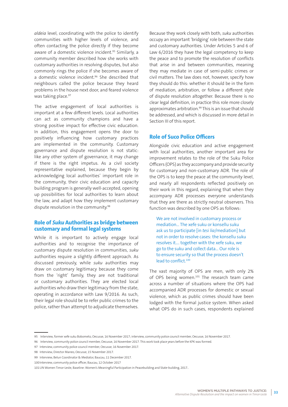*aldeia* level, coordinating with the police to identify communities with higher levels of violence, and often contacting the police directly if they become aware of a domestic violence incident.<sup>95</sup> Similarly, a community member described how she works with customary authorities in resolving disputes, but also commonly rings the police if she becomes aware of a domestic violence incident.<sup>96</sup> She described that neighbours called the police because they heard problems in the house next door, and feared violence was taking place.<sup>97</sup>

The active engagement of local authorities is important at a few different levels. Local authorities can act as community champions and have a strong positive impact for effective civic education. In addition, this engagement opens the door to positively influencing how customary practices are implemented in the community. Customary governance and dispute resolution is not static: like any other system of governance, it may change if there is the right impetus. As a civil society representative explained, because they begin by acknowledging local authorities' important role in the community, their civic education and capacity building program is generally well-accepted, opening up possibilities for local authorities to learn about the law, and adapt how they implement customary dispute resolution in the community.<sup>98</sup>

### **Role of** *Suku* **Authorities as bridge between customary and formal legal systems**

While it is important to actively engage local authorities and to recognise the importance of customary dispute resolution in communities, *suku* authorities require a slightly different approach. As discussed previously, while *suku* authorities may draw on customary legitimacy because they come from the 'right' family, they are not traditional or customary authorities. They are elected local authorities who draw their legitimacy from the state, operating in accordance with Law 9/2016. As such, their legal role should be to refer public crimes to the police, rather than attempt to adjudicate themselves.

Because they work closely with both, *suku* authorities occupy an important 'bridging' role between the state and customary authorities. Under Articles 5 and 6 of Law 6/2016 they have the legal competency to keep the peace and to promote the resolution of conflicts that arise in and between communities, meaning they may mediate in case of semi-public crimes or civil matters. The law does not, however, specify how they should do this: whether it should be in the form of mediation, arbitration, or follow a different style of dispute resolution altogether. Because there is no clear legal definition, in practice this role more closely approximates arbitration.<sup>99</sup> This is an issue that should be addressed, and which is discussed in more detail in Section III of this report.

### **Role of Suco Police Officers**

Alongside civic education and active engagement with local authorities, another important area for improvement relates to the role of the Suku Police Officers (OPS) as they accompany and provide security for customary and non-customary ADR. The role of the OPS is to keep the peace at the community level, and nearly all respondents reflected positively on their work in this regard, explaining that when they accompany ADR processes everyone understands that they are there as strictly neutral observers. This function was described by one OPS as follows:

We are not involved in customary process or mediation… The xefe suku or konsellu suku ask us to participate [in *tesi lia*/mediation] but not in order to resolve cases: the konsellu suku resolves it.… together with the xefe suku, we go to the suku and collect data… Our role is to ensure security so that the process doesn't lead to conflict.100

The vast majority of OPS are men, with only 2% of OPS being women.<sup>101</sup> The research team came across a number of situations where the OPS had accompanied ADR processes for domestic or sexual violence, which as public crimes should have been lodged with the formal justice system. When asked what OPS do in such cases, respondents explained

100Interview, community police officer, Baucau, 12 October 2017

<sup>95</sup> Interview, former xefe suku Bobometo, Oecusse, 16 November 2017; interview, community police council member, Oecusse, 16 November 2017.

<sup>96</sup> Interview, community police council member, Oecusse, 16 November 2017. This work took place years before the KPK was formed.

<sup>97</sup> Interview, community police council member, Oecusse, 16 November 2017.

<sup>98</sup> Interview, Director Maneo, Oecusse, 15 November 2017.

<sup>99</sup> Interview, Belun Coordinator & Mediator, Baucau, 11 December 2017.

<sup>101</sup>UN Women Timor-Leste, Baseline: Women's Meaningful Participation in Peacebuilding and State-building, 2017..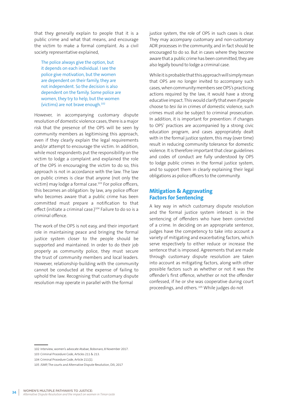that they generally explain to people that it is a public crime and what that means, and encourage the victim to make a formal complaint. As a civil society representative explained,

The police always give the option, but it depends on each individual. I see the police give motivation, but the women are dependent on their family, they are not independent. So the decision is also dependent on the family. Some police are women, they try to help, but the women (victims) are not brave enough.102

However, in accompanying customary dispute resolution of domestic violence cases, there is a major risk that the presence of the OPS will be seen by community members as legitimising this approach, even if they clearly explain the legal requirements and/or attempt to encourage the victim. In addition, while most respondents put the responsibility on the victim to lodge a complaint and explained the role of the OPS in encouraging the victim to do so, this approach is not in accordance with the law. The law on public crimes is clear that anyone (not only the victim) may lodge a formal case.<sup>103</sup> For police officers, this becomes an obligation: by law, any police officer who becomes aware that a public crime has been committed must prepare a notification to that effect (initiate a criminal case.)<sup>104</sup> Failure to do so is a criminal offence.

The work of the OPS is not easy, and their important role in maintaining peace and bringing the formal justice system closer to the people should be supported and maintained. In order to do their job properly as community police, they must secure the trust of community members and local leaders. However, relationship-building with the community cannot be conducted at the expense of failing to uphold the law. Recognising that customary dispute resolution may operate in parallel with the formal

justice system, the role of OPS in such cases is clear. They may accompany customary and non-customary ADR processes in the community, and in fact should be encouraged to do so. But in cases where they become aware that a public crime has been committed, they are also legally bound to lodge a criminal case.

While it is probable that this approach will simply mean that OPS are no longer invited to accompany such cases, when community members see OPS's practicing actions required by the law, it would have a strong educative impact. This would clarify that even if people choose to *tesi lia* in crimes of domestic violence, such crimes must *also* be subject to criminal prosecution. In addition, it is important for prevention: if changes to OPS' practices are accompanied by a strong civic education program, and cases appropriately dealt with in the formal justice system, this may (over time) result in reducing community tolerance for domestic violence. It is therefore important that clear guidelines and codes of conduct are fully understood by OPS to lodge public crimes in the formal justice system, and to support them in clearly explaining their legal obligations as police officers to the community.

## **Mitigation & Aggravating Factors for Sentencing**

A key way in which customary dispute resolution and the formal justice system interact is in the sentencing of offenders who have been convicted of a crime. In deciding on an appropriate sentence, judges have the competency to take into account a variety of mitigating and exacerbating factors, which serve respectively to either reduce or increase the sentence that is imposed. Agreements that are made through customary dispute resolution are taken into account as mitigating factors, along with other possible factors such as whether or not it was the offender's first offence, whether or not the offender confessed, if he or she was cooperative during court proceedings, and others.<sup>105</sup> While judges do not

<sup>102</sup> Interview, women's advocate Atabae, Bobonaro, 8 November 2017.

<sup>103</sup> Criminal Procedure Code, Articles 211 & 213.

<sup>104</sup> Criminal Procedure Code, Article 211(1).

<sup>105</sup> JSMP, The courts and Alternative Dispute Resolution, Dili, 2017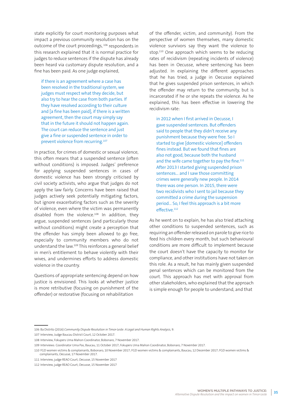state explicitly for court monitoring purposes what impact a previous community resolution has on the outcome of the court proceedings, 106 respondents in this research explained that it is normal practice for judges to reduce sentences if the dispute has already been heard via customary dispute resolution, and a fine has been paid. As one judge explained,

if there is an agreement where a case has been resolved in the traditional system, we judges must respect what they decide, but also try to hear the case from both parties. If they have resolved according to their culture and [a fine has been paid], if there is a written agreement, then the court may simply say that in the future it should not happen again. The court can reduce the sentence and just give a fine or suspended sentence in order to prevent violence from recurring.107

In practice, for crimes of domestic or sexual violence, this often means that a suspended sentence (often without conditions) is imposed. Judges' preference for applying suspended sentences in cases of domestic violence has been strongly criticised by civil society activists, who argue that judges do not apply the law fairly. Concerns have been raised that judges actively seek potentially mitigating factors, but ignore exacerbating factors such as the severity of violence, even where the victim was permanently disabled from the violence.108 In addition, they argue, suspended sentences (and particularly those without conditions) might create a perception that the offender has simply been allowed to go free, especially to community members who do not understand the law.109 This reinforces a general belief in men's entitlement to behave violently with their wives, and undermines efforts to address domestic violence in the country.

Questions of appropriate sentencing depend on how justice is envisioned. This looks at whether justice is more retributive (focusing on punishment of the offender) or restorative (focusing on rehabilitation

of the offender, victim, and community). From the perspective of women themselves, many domestic violence survivors say they want the violence to stop.<sup>110</sup> One approach which seems to be reducing rates of recidivism (repeating incidents of violence) has been in Oecusse, where sentencing has been adjusted. In explaining the different approaches that he has tried, a judge in Oecusse explained that he gives suspended prison sentences, in which the offender may return to the community, but is incarcerated if he or she repeats the violence. As he explained, this has been effective in lowering the recidivism rate:

in 2012 when I first arrived in Oecusse, I gave suspended sentences. But offenders said to people that they didn't receive any punishment because they were free. So I started to give [domestic violence] offenders fines instead. But we found that fines are also not good, because both the husband and the wife came together to pay the fine.<sup>111</sup> After 2013 I started giving suspended prison sentences… and I saw those committing crimes were generally new people. In 2014 there was one person. In 2015, there were two recidivists who I sent to jail because they committed a crime during the suspension period… So, I feel this approach is a bit more effective.<sup>112</sup>

As he went on to explain, he has also tried attaching other conditions to suspended sentences, such as requiring an offender released on parole to give rice to feed his children every month, but such behavioural conditions are more difficult to implement because the court doesn't have the capacity to monitor for compliance, and other institutions have not taken on this role. As a result, he has mainly given suspended penal sentences which can be monitored from the court. This approach has met with approval from other stakeholders, who explained that the approach is simple enough for people to understand, and that

<sup>106</sup> Ba Distrito (2016) *Community Dispute Resolution in Timor-Leste: A Legal and Human Rights Analysis,* 9.

<sup>107</sup> Interview, Judge Baucau District Court, 12 October 2017.

<sup>108</sup> Interview, Fokupers Uma Mahon Coordinator, Bobonaro, 7 November 2017.

<sup>109</sup> Interviews: Coordinator Uma Pas, Baucau, 11 October 2017; Fokupers Uma Mahon Coordinator, Bobonaro, 7 November 2017.

<sup>110</sup> FGD women victims & complainants, Bobonaro, 10 November 2017; FGD women victims & complainants, Baucau, 12 December 2017; FGD women victims & complainants, Oecusse, 17 November 2017.

<sup>111</sup> Interview, judge REAO Court, Oecusse, 15 November 2017

<sup>112</sup> Interview, judge REAO Court, Oecusse, 15 November 2017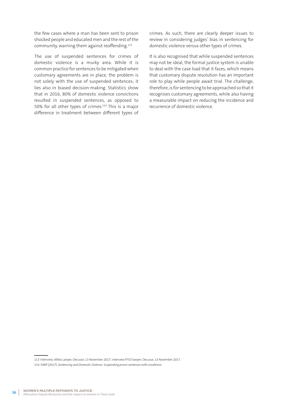the few cases where a man has been sent to prison shocked people and educated men and the rest of the community, warning them against reoffending.113

The use of suspended sentences for crimes of domestic violence is a murky area. While it is common practice for sentences to be mitigated when customary agreements are in place, the problem is not solely with the use of suspended sentences; it lies also in biased decision-making. Statistics show that in 2016, 80% of domestic violence convictions resulted in suspended sentences, as opposed to 50% for all other types of crimes.<sup>114</sup> This is a major difference in treatment between different types of crimes. As such, there are clearly deeper issues to review in considering judges' bias in sentencing for domestic violence versus other types of crimes.

It is also recognised that while suspended sentences may not be ideal, the formal justice system is unable to deal with the case load that it faces, which means that customary dispute resolution has an important role to play while people await trial. The challenge, therefore, is for sentencing to be approached so that it recognises customary agreements, while also having a measurable impact on reducing the incidence and recurrence of domestic violence.

113 Interview, Alfela Lawyer, Oecusse, 13 November 2017; interview FFSO lawyer, Oecusse, 13 November 2017.

114 JSMP (2017), *Sentencing and Domestic Violence: Suspending prison sentences with conditions.*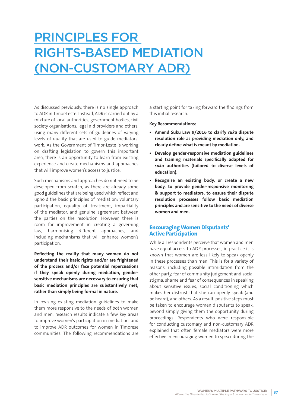# PRINCIPLES FOR RIGHTS-BASED MEDIATION (NON-CUSTOMARY ADR)

As discussed previously, there is no single approach to ADR in Timor-Leste. Instead, ADR is carried out by a mixture of local authorities, government bodies, civil society organisations, legal aid providers and others, using many different sets of guidelines of varying levels of quality that are used to guide mediators' work. As the Government of Timor-Leste is working on drafting legislation to govern this important area, there is an opportunity to learn from existing experience and create mechanisms and approaches that will improve women's access to justice.

Such mechanisms and approaches do not need to be developed from scratch, as there are already some good guidelines that are being used which reflect and uphold the basic principles of mediation: voluntary participation, equality of treatment, impartiality of the mediator, and genuine agreement between the parties on the resolution. However, there is room for improvement in creating a governing law, harmonising different approaches, and including mechanisms that will enhance women's participation.

**Reflecting the reality that many women do not understand their basic rights and/or are frightened of the process and/or face potential repercussions if they speak openly during mediation, gendersensitive mechanisms are necessary to ensuring that basic mediation principles are substantively met, rather than simply being formal in nature.** 

In revising existing mediation guidelines to make them more responsive to the needs of both women and men, research results indicate a few key areas to improve women's participation in mediation, and to improve ADR outcomes for women in Timorese communities. The following recommendations are a starting point for taking forward the findings from this initial research.

#### **Key Recommendations:**

- **• Amend Suku Law 9/2016 to clarify** *suku* **dispute resolution role as providing mediation only, and clearly define what is meant by mediation.**
- **• Develop gender-responsive mediation guidelines and training materials specifically adapted for**  *suku* **authorities (tailored to diverse levels of education).**
- **Recognise an existing body, or create a new body, to provide gender-responsive monitoring & support to mediators, to ensure their dispute resolution processes follow basic mediation principles and are sensitive to the needs of diverse women and men.**

### **Encouraging Women Disputants' Active Participation**

While all respondents perceive that women and men have equal access to ADR processes, in practice it is known that women are less likely to speak openly in these processes than men. This is for a variety of reasons, including possible intimidation from the other party, fear of community judgement and social stigma, shame and fear of consequences in speaking about sensitive issues, social conditioning which makes her distrust that she can openly speak (and be heard), and others. As a result, positive steps must be taken to encourage women disputants to speak, beyond simply giving them the opportunity during proceedings. Respondents who were responsible for conducting customary and non-customary ADR explained that often female mediators were more effective in encouraging women to speak during the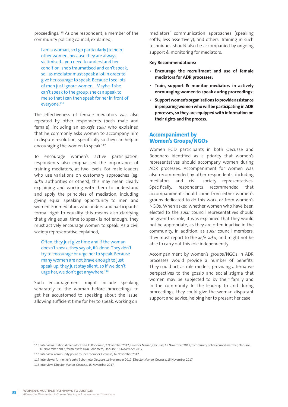proceedings.115 As one respondent, a member of the community policing council, explained,

I am a woman, so I go particularly [to help] other women, because they are always victimised… you need to understand her condition, she's traumatised and can't speak, so I as mediator must speak a lot in order to give her courage to speak. Because I see lots of men just ignore women… Maybe if she can't speak to the group, she can speak to me so that I can then speak for her in front of everyone.<sup>116</sup>

The effectiveness of female mediators was also repeated by other respondents (both male and female), including an ex-*xefe suku* who explained that he commonly asks women to accompany him in dispute resolution, specifically so they can help in encouraging the women to speak.<sup>117</sup>

To encourage women's active participation, respondents also emphasised the importance of training mediators, at two levels. For male leaders who use variations on customary approaches (eg. *suku* authorities or others), this may mean clearly explaining and working with them to understand and apply the principles of mediation, including giving equal speaking opportunity to men and women. For mediators who understand participants' formal right to equality, this means also clarifying that giving equal time to speak is not enough: they must actively encourage women to speak. As a civil society representative explained,

Often, they just give time and if the woman doesn't speak, they say ok, it's done. They don't try to encourage or urge her to speak. Because many women are not brave enough to just speak up, they just stay silent, so if we don't urge her, we don't get anywhere.<sup>118</sup>

Such encouragement might include speaking separately to the woman before proceedings to get her accustomed to speaking about the issue, allowing sufficient time for her to speak, working on

mediators' communication approaches (speaking softly, less assertively), and others. Training in such techniques should also be accompanied by ongoing support & monitoring for mediators.

#### **Key Recommendations:**

- **Encourage the recruitment and use of female mediators for ADR processes;**
- **Train, support & monitor mediators in actively encouraging women to speak during proceedings;**
- **Support women's organisations to provide assistance in preparing women who will be participating in ADR processes, so they are equipped with information on their rights and the process.**

### **Accompaniment by Women's Groups/NGOs**

Women FGD participants in both Oecusse and Bobonaro identified as a priority that women's representatives should accompany women during ADR processes. Accompaniment for women was also recommended by other respondents, including mediators and civil society representatives. Specifically, respondents recommended that accompaniment should come from either women's groups dedicated to do this work, or from women's NGOs. When asked whether women who have been elected to the *suku* council representatives should be given this role, it was explained that they would not be appropriate, as they are often inactive in the community. In addition, as *suku* council members, they must report to the *xefe suku*, and might not be able to carry out this role independently.

Accompaniment by women's groups/NGOs in ADR processes would provide a number of benefits. They could act as role models, providing alternative perspectives to the gossip and social stigma that women may be subjected to by their family and in the community. In the lead-up to and during proceedings, they could give the woman disputant support and advice, helping her to present her case

<sup>115</sup> Interviews: national mediator DNPCC, Bobonaro, 7 November 2017; Director Maneo, Oecusse, 15 November 2017; community police council member, Oecusse, 16 November 2017; former xefe suku Bobometo, Oecusse, 16 November 2017.

<sup>116</sup> Interview, community police council member, Oecusse, 16 November 2017.

<sup>117</sup> Interviews: former xefe suku Bobometo, Oecusse, 16 November 2017; Director Maneo, Oecusse, 15 November 2017.

<sup>118</sup> Interview, Director Maneo, Oecusse, 15 November 2017.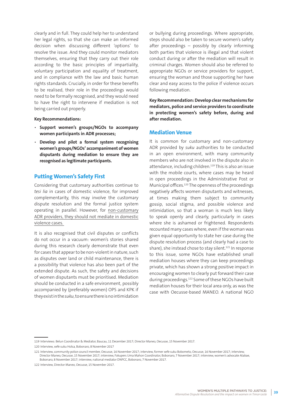clearly and in full. They could help her to understand her legal rights, so that she can make an informed decision when discussing different 'options' to resolve the issue. And they could monitor mediators themselves, ensuring that they carry out their role according to the basic principles of impartiality, voluntary participation and equality of treatment, and in compliance with the law and basic human rights standards. Crucially, in order for these benefits to be realised, their role in the proceedings would need to be formally recognised, and they would need to have the right to intervene if mediation is not being carried out properly.

#### **Key Recommendations:**

- **Support women's groups/NGOs to accompany women participants in ADR processes;**
- **Develop and pilot a formal system recognising women's groups/NGOs' accompaniment of women disputants during mediation to ensure they are recognised as legitimate participants.**

### **Putting Women's Safety First**

Considering that customary authorities continue to *tesi lia* in cases of domestic violence, for improved complementarity, this may involve the customary dispute resolution and the formal justice system operating in parallel. However, for non-customary ADR providers, they should not mediate in domestic violence cases.

It is also recognised that civil disputes or conflicts do not occur in a vacuum: women's stories shared during this research clearly demonstrate that even for cases that appear to be non-violent in nature, such as disputes over land or child maintenance, there is a possibility that violence has also been part of the extended dispute. As such, the safety and decisions of women disputants must be prioritised. Mediation should be conducted in a safe environment, possibly accompanied by (preferably women) OPS and KPK if they exist in the *suku*, to ensure there is no intimidation

or bullying during proceedings. Where appropriate, steps should also be taken to secure women's safety after proceedings – possibly by clearly informing both parties that violence is illegal and that violent conduct during or after the mediation will result in criminal charges. Women should also be referred to appropriate NGOs or service providers for support, ensuring the woman and those supporting her have clear and easy access to the police if violence occurs following mediation.

**Key Recommendation: Develop clear mechanisms for mediators, police and service providers to coordinate in protecting women's safety before, during and after mediation.** 

## **Mediation Venue**

It is common for customary and non-customary ADR provided by *suku* authorities to be conducted in an open environment, with many community members who are not involved in the dispute also in attendance, including children.<sup>119</sup> This is also an issue with the mobile courts, where cases may be heard in open proceedings in the Administrative Post or Municipal offices.120 The openness of the proceedings negatively affects women disputants and witnesses, at times making them subject to community gossip, social stigma, and possible violence and intimidation, so that a woman is much less likely to speak openly and clearly, particularly in cases where she is ashamed or frightened. Respondents recounted many cases where, even if the woman was given equal opportunity to state her case during the dispute resolution process (and clearly had a case to share), she instead chose to stay silent.<sup>121</sup> In response to this issue, some NGOs have established small mediation houses where they can keep proceedings private, which has shown a strong positive impact in encouraging women to clearly put forward their case during proceedings.122 Some of these NGOs have built mediation houses for their local area only, as was the case with Oecusse-based MANEO. A national NGO

121 Interview, community police council member, Oecusse, 16 November 2017; interview, former xefe suku Bobometo, Oecusse, 16 November 2017; interview, Director Maneo, Oecusse, 15 November 2017; interview, Fokupers Uma Mahon Coordinator, Bobonaro, 7 November 2017; interview, women's advocate Atabae, Bobonaro, 8 November 2017; interview, national mediator DNPCC, Bobonaro, 7 November 2017.

<sup>119</sup> Interviews: Belun Coordinator & Mediator, Baucau, 11 December 2017; Director Maneo, Oecusse, 15 November 2017.

<sup>120</sup> Interview, xefe suku Holsa, Bobonaro, 8 November 2017

<sup>122</sup> Interview, Director Maneo, Oecusse, 15 November 2017.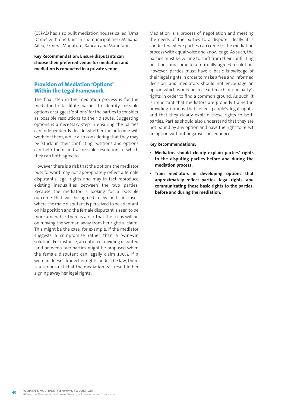(CEPAD has also built mediation houses called 'Uma Dame' with one built in six municipalities: Maliana, Aileu, Ermera, Manatuto, Baucau and Manufahi.

**Key Recommendation: Ensure disputants can choose their preferred venue for mediation and mediation is conducted in a private venue.** 

# **Provision of Mediation 'Options' Within the Legal Framework**

The final step in the mediation process is for the mediator to facilitate parties to identify possible options or suggest 'options' for the parties to consider as possible resolutions to their dispute. Suggesting options is a necessary step in ensuring the parties can independently decide whether the outcome will work for them, while also considering that they may be 'stuck' in their conflicting positions and options can help them find a possible resolution to which they can both agree to.

However, there is a risk that the options the mediator puts forward may not appropriately reflect a female disputant's legal rights and may in fact reproduce existing inequalities between the two parties. Because the mediator is looking for a possible outcome that will be agreed to by both, in cases where the male disputant is perceived to be adamant on his position and the female disputant is seen to be more amenable, there is a risk that the focus will be on moving the woman away from her rightful claim. This might be the case, for example, if the mediator suggests a compromise rather than a 'win-win solution'. For instance, an option of dividing disputed land between two parties might be proposed when the female disputant can legally claim 100%. If a woman doesn't know her rights under the law, there is a serious risk that the mediation will result in her signing away her legal rights.

Mediation is a process of negotiation and meeting the needs of the parties to a dispute. Ideally, it is conducted where parties can come to the mediation process with equal voice and knowledge. As such, the parties must be willing to shift from their conflicting positions and come to a mutually-agreed resolution. However, parties must have a basic knowledge of their legal rights in order to make a free and informed decision, and mediators should not encourage an option which would be in clear breach of one party's rights in order to find a common ground. As such, it is important that mediators are properly trained in providing options that reflect people's legal rights, and that they clearly explain those rights to both parties. Parties should also understand that they are not bound by any option and have the right to reject an option without negative consequences.

#### **Key Recommendations:**

- **Mediators should clearly explain parties' rights to the disputing parties before and during the mediation process;**
- **Train mediators in developing options that approximately reflect parties' legal rights, and communicating these basic rights to the parties, before and during the mediation.**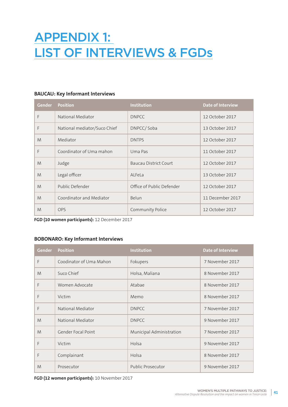# APPENDIX 1: LIST OF INTERVIEWS & FGDs

# **BAUCAU: Key Informant Interviews**

| <b>Gender</b> | <b>Position</b>              | <b>Institution</b>        | <b>Date of Interview</b> |
|---------------|------------------------------|---------------------------|--------------------------|
| F             | National Mediator            | <b>DNPCC</b>              | 12 October 2017          |
| F             | National mediator/Suco Chief | DNPCC/Soba                | 13 October 2017          |
| M             | Mediator                     | <b>DNTPS</b>              | 12 October 2017          |
| F             | Coordinator of Uma mahon     | Uma Pas                   | 11 October 2017          |
| M             | Judge                        | Baucau District Court     | 12 October 2017          |
| M             | Legal officer                | ALFeLa                    | 13 October 2017          |
| M             | Public Defender              | Office of Public Defender | 12 October 2017          |
| M             | Coordinator and Mediator     | Belun                     | 11 December 2017         |
| M             | <b>OPS</b>                   | Community Police          | 12 October 2017          |

**FGD (10 women participants):** 12 December 2017

# **BOBONARO: Key Informant Interviews**

| <b>Gender</b> | <b>Position</b>         | Institution              | <b>Date of Interview</b> |
|---------------|-------------------------|--------------------------|--------------------------|
| F             | Coodinator of Uma Mahon | Fokupers                 | 7 November 2017          |
| M             | Suco Chief              | Holsa, Maliana           | 8 November 2017          |
| F             | Women Advocate          | Atabae                   | 8 November 2017          |
| F             | Victim                  | Memo                     | 8 November 2017          |
| F             | National Mediator       | <b>DNPCC</b>             | 7 November 2017          |
| M             | National Mediator       | <b>DNPCC</b>             | 9 November 2017          |
| M             | Gender Focal Point      | Municipal Administration | 7 November 2017          |
| F             | Victim                  | Holsa                    | 9 November 2017          |
| F             | Complainant             | Holsa                    | 8 November 2017          |
| M             | Prosecutor              | <b>Public Prosecutor</b> | 9 November 2017          |

**FGD (12 women participants):** 10 November 2017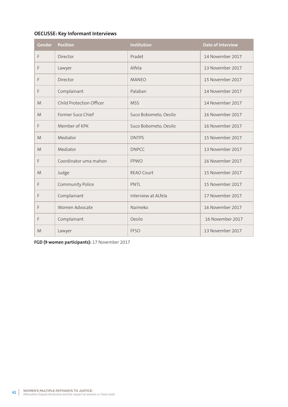# **OECUSSE: Key Informant Interviews**

| Gender | <b>Position</b>          | Institution           | <b>Date of Interview</b> |
|--------|--------------------------|-----------------------|--------------------------|
| F      | Director                 | Pradet                | 14 November 2017         |
| F      | Lawyer                   | Alfela                | 13 November 2017         |
| F      | Director                 | <b>MANEO</b>          | 15 November 2017         |
| F      | Complainant              | Palaban               | 14 November 2017         |
| M      | Child Protection Officer | <b>MSS</b>            | 14 November 2017         |
| M      | Former Suco Chief        | Suco Bobometo, Oesilo | 16 November 2017         |
| F      | Member of KPK            | Suco Bobometo, Oesilo | 16 November 2017         |
| M      | Mediator                 | <b>DNTPS</b>          | 15 November 2017         |
| M      | Mediator                 | <b>DNPCC</b>          | 13 November 2017         |
| F      | Coordinator uma mahon    | <b>FPWO</b>           | 16 November 2017         |
| M      | Judge                    | <b>REAO Court</b>     | 15 November 2017         |
| F      | Community Police         | PNTL                  | 15 November 2017         |
| F      | Complainant              | Interview at ALfela   | 17 November 2017         |
| F      | Women Advocate           | Naimeko               | 16 November 2017         |
| F      | Complainant              | Oesilo                | 16 November 2017         |
| M      | Lawyer                   | <b>FFSO</b>           | 13 November 2017         |

**FGD (9 women participants):** 17 November 2017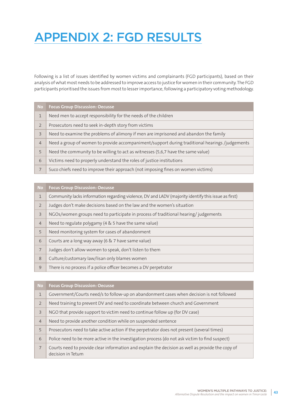# APPENDIX 2: FGD RESULTS

Following is a list of issues identified by women victims and complainants (FGD participants), based on their analysis of what most needs to be addressed to improve access to justice for women in their community. The FGD participants prioritised the issues from most to lesser importance, following a participatory voting methodology.

| <b>No</b>      | <b>Focus Group Discussion: Oecusse</b>                                                         |
|----------------|------------------------------------------------------------------------------------------------|
| $\mathbf{1}$   | Need men to accept responsibility for the needs of the children                                |
| $\overline{2}$ | Prosecutors need to seek in-depth story from victims                                           |
| 3              | Need to examine the problems of alimony if men are imprisoned and abandon the family           |
| $\overline{4}$ | Need a group of women to provide accompaniment/support during traditional hearings /judgements |
| 5              | Need the community to be willing to act as witnesses (5,6,7 have the same value)               |
| 6              | Victims need to properly understand the roles of justice institutions                          |
| $\overline{7}$ | Suco chiefs need to improve their approach (not imposing fines on women victims)               |

| <b>No</b>      | <b>Focus Group Discussion: Oecusse</b>                                                              |
|----------------|-----------------------------------------------------------------------------------------------------|
| $\mathbf{1}$   | Community lacks information regarding violence, DV and LADV (majority identify this issue as first) |
| $\overline{2}$ | Judges don't make decisions based on the law and the women's situation                              |
| $\overline{3}$ | NGOs/women groups need to participate in process of traditional hearing/judgements                  |
| $\overline{4}$ | Need to regulate polygamy (4 & 5 have the same value)                                               |
| 5              | Need monitoring system for cases of abandonment                                                     |
| 6              | Courts are a long way away (6 & 7 have same value)                                                  |
| $\overline{7}$ | Judges don't allow women to speak, don't listen to them                                             |
| 8              | Culture/customary law/lisan only blames women                                                       |
| 9              | There is no process if a police officer becomes a DV perpetrator                                    |

| No/            | <b>Focus Group Discussion: Oecusse</b>                                                                                |
|----------------|-----------------------------------------------------------------------------------------------------------------------|
| $\mathbf 1$    | Government/Courts need/s to follow-up on abandonment cases when decision is not followed                              |
| $\overline{2}$ | Need training to prevent DV and need to coordinate between church and Government                                      |
| $\overline{3}$ | NGO that provide support to victim need to continue follow up (for DV case)                                           |
| $\overline{4}$ | Need to provide another condition while on suspended sentence                                                         |
| 5              | Prosecutors need to take active action if the perpetrator does not present (several times)                            |
| 6              | Police need to be more active in the investigation process (do not ask victim to find suspect)                        |
| $\overline{7}$ | Courts need to provide clear information and explain the decision as well as provide the copy of<br>decision in Tetum |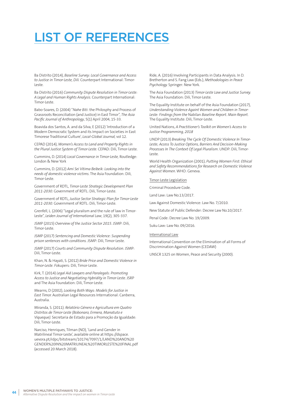# LIST OF REFERENCES

Ba Distrito (2014), *Baseline Survey: Local Governance and Access to Justice in Timor-Leste, Dili.* Counterpart International: Timor-Leste.

Ba Distrito (2016) *Community Dispute Resolution in Timor-Leste: A Legal and Human Rights Analysis*. Counterpart International: Timor-Leste.

Babo-Soares, D. (2004) "*Nahe Biti*: the Philosphy and Process of Grassroots Reconciliation (and Justice) in East Timor", *The Asia Pacific Journal of Anthropology*, 5(1) April 2004, 15-33.

Boavida dos Santos, A. and da Silva, E (2012) 'Introduction of a Modern Democratic System and its Impact on Societies in East Timorese Traditional Culture', *Local-Global Journal,* vol 12.

CEPAD (2014), *Women's Access to Land and Property Rights in the Plural Justice System of Timor-Leste.* CEPAD: Dili, Timor-Leste.

Cummins, D. (2014) *Local Governance in Timor-Leste,* Routledge: London & New York

Cummins, D. (2012) *Ami Sei Vitima Beibeik: Looking into the needs of domestic violence victims*. The Asia Foundation: Dili, Timor-Leste

Government of RDTL, *Timor-Leste Strategic Development Plan 2011-2030*. Government of RDTL: Dili, Timor-Leste.

Government of RDTL, *Justice Sector Strategic Plan for Timor-Leste 2011-2030.* Government of RDTL: Dili, Timor-Leste.

Grenfell, L. (2006) "Legal pluralism and the rule of law in Timor-Leste", *Leiden Journal of International Law*, 19(2), 305-337.

JSMP (2015) *Overview of the Justice Sector 2015*. JSMP: Dili, Timor-Leste

JSMP (2017) *Sentencing and Domestic Violence: Suspending prison sentences with conditions.* JSMP: Dili, Timor-Leste.

JSMP (2017) *Courts and Community Dispute Resolution.* JSMP: Dili, Timor-Leste.

Khan, N. & Hayati, S. (2012) *Bride Price and Domestic Violence in Timor-Leste. F*okupers: Dili, Timor-Leste.

Kirk, T. (2014) *Legal Aid Lawyers and Paralegals: Promoting Access to Justice and Negotiating Hybridity in Timor-Leste*. JSRP and The Asia Foundation: Dili, Timor-Leste.

Mearns, D (2002), *Looking Both Ways: Models for Justice in East Timor.* Australian Legal Resources International: Canberra, Australia.

Miranda, S. (2011). *Relatório Género e Agricultura em Quatro Distritos de Timor-Leste (Bobonaro, Ermera, Manatuto e Viqueque).* Secretaria de Estado para a Promoção da Igualdade: Dili, Timor-Leste.

Narciso, Henriques, Tilman (ND), 'Land and Gender in Matrilineal Timor-Leste', available online at https://dspace. uevora.pt/rdpc/bitstream/10174/7097/1/LAND%20AND%20 GENDER%20IN%20MATRILINEAL%20TIMORLESTE%20FINAL.pdf (accessed 20 March 2018).

Ride, A. (2016) Involving Participants in Data Analysis. In D. Bretherton and S. Fang Law (Eds.), *Methodologies in Peace Psychology.* Springer: New York.

The Asia Foundation (2013) *Timor-Leste Law and Justice Survey.* The Asia Foundation: Dili, Timor-Leste.

The Equality Institute on behalf of the Asia Foundation (2017), *Understanding Violence Againt Women and Children in Timor-Leste: Findings from the* Nabilan *Baseline Report. Main Report.* The Equality Institute: Dili, Timor-Leste.

United Nations, *A Practitioner's Toolkit on Women's Access to Justice Programming, 2018*

UNDP (2013) *Breaking The Cycle Of Domestic Violence In Timor-Leste; Access To Justice Options, Barriers And Decision-Making Processes In The Context Of Legal Pluralism*. UNDP: Dili, Timor-Leste.

World Health Organization (2001), *Putting Women First: Ethical and Safety Recommendations for Research on Domestic Violence Against Women*. WHO: Geneva.

#### Timor-Leste Legislation

Criminal Procedure Code.

Land Law: Law No.13/2017.

Law Against Domestic Violence: Law No. 7/2010.

New Statute of Public Defender: Decree Law No.10/2017.

Penal Code: Decree Law No. 19/2009.

Suku Law: Law No. 09/2016.

#### International Law

International Convention on the Elimination of all Forms of Discrimination Against Women (CEDAW)

UNSCR 1325 on Women, Peace and Security (2000).